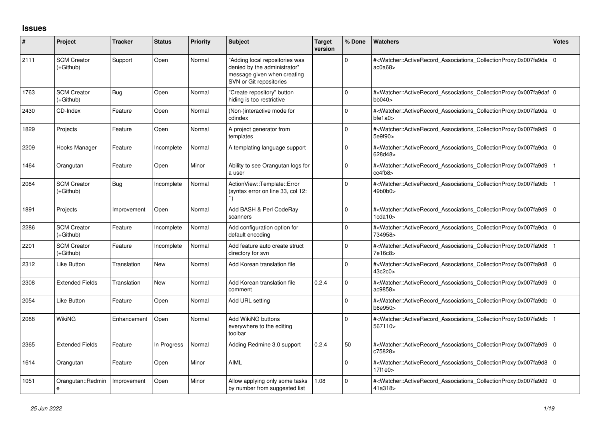## **Issues**

| #    | Project                         | <b>Tracker</b> | <b>Status</b> | <b>Priority</b> | <b>Subject</b>                                                                                                           | Target<br>version | % Done      | <b>Watchers</b>                                                                                                                                          | <b>Votes</b> |
|------|---------------------------------|----------------|---------------|-----------------|--------------------------------------------------------------------------------------------------------------------------|-------------------|-------------|----------------------------------------------------------------------------------------------------------------------------------------------------------|--------------|
| 2111 | <b>SCM Creator</b><br>(+Github) | Support        | Open          | Normal          | "Adding local repositories was<br>denied by the administrator"<br>message given when creating<br>SVN or Git repositories |                   | $\Omega$    | # <watcher::activerecord 0<br="" associations="" collectionproxy:0x007fa9da=""  ="">ac0a68</watcher::activerecord>                                       |              |
| 1763 | <b>SCM Creator</b><br>(+Github) | <b>Bug</b>     | Open          | Normal          | "Create repository" button<br>hiding is too restrictive                                                                  |                   | 0           | # <watcher::activerecord 0<br="" associations="" collectionproxy:0x007fa9daf=""  ="">bb040</watcher::activerecord>                                       |              |
| 2430 | CD-Index                        | Feature        | Open          | Normal          | (Non-)interactive mode for<br>cdindex                                                                                    |                   | $\Omega$    | # <watcher::activerecord 0<br="" associations="" collectionproxy:0x007fa9da=""  ="">bfe1a0</watcher::activerecord>                                       |              |
| 1829 | Projects                        | Feature        | Open          | Normal          | A project generator from<br>templates                                                                                    |                   | $\mathbf 0$ | # <watcher::activerecord 0<br="" associations="" collectionproxy:0x007fa9d9=""  ="">5e9f90&gt;</watcher::activerecord>                                   |              |
| 2209 | Hooks Manager                   | Feature        | Incomplete    | Normal          | A templating language support                                                                                            |                   | $\mathbf 0$ | # <watcher::activerecord_associations_collectionproxy:0x007fa9da 0<br="">628d48&gt;</watcher::activerecord_associations_collectionproxy:0x007fa9da>      |              |
| 1464 | Orangutan                       | Feature        | Open          | Minor           | Ability to see Orangutan logs for<br>a user                                                                              |                   | $\mathbf 0$ | # <watcher::activerecord associations="" collectionproxy:0x007fa9d9<br="">cc4fb8</watcher::activerecord>                                                 |              |
| 2084 | <b>SCM Creator</b><br>(+Github) | <b>Bug</b>     | Incomplete    | Normal          | ActionView::Template::Error<br>(syntax error on line 33, col 12:                                                         |                   | $\mathbf 0$ | # <watcher::activerecord associations="" collectionproxy:0x007fa9db<br="">49b0b0&gt;</watcher::activerecord>                                             |              |
| 1891 | Projects                        | Improvement    | Open          | Normal          | Add BASH & Perl CodeRay<br>scanners                                                                                      |                   | $\mathbf 0$ | # <watcher::activerecord_associations_collectionproxy:0x007fa9d9 0<br="">1cda10</watcher::activerecord_associations_collectionproxy:0x007fa9d9>          |              |
| 2286 | <b>SCM Creator</b><br>(+Github) | Feature        | Incomplete    | Normal          | Add configuration option for<br>default encoding                                                                         |                   | $\mathbf 0$ | # <watcher::activerecord_associations_collectionproxy:0x007fa9da 0<br="">734958&gt;</watcher::activerecord_associations_collectionproxy:0x007fa9da>      |              |
| 2201 | <b>SCM Creator</b><br>(+Github) | Feature        | Incomplete    | Normal          | Add feature auto create struct<br>directory for svn                                                                      |                   | $\mathbf 0$ | # <watcher::activerecord associations="" collectionproxy:0x007fa9d8<br="">7e16c8&gt;</watcher::activerecord>                                             |              |
| 2312 | Like Button                     | Translation    | <b>New</b>    | Normal          | Add Korean translation file                                                                                              |                   | $\Omega$    | # <watcher::activerecord_associations_collectionproxy:0x007fa9d8 0<br="">43c2c0</watcher::activerecord_associations_collectionproxy:0x007fa9d8>          |              |
| 2308 | <b>Extended Fields</b>          | Translation    | <b>New</b>    | Normal          | Add Korean translation file<br>comment                                                                                   | 0.2.4             | $\Omega$    | # <watcher::activerecord_associations_collectionproxy:0x007fa9d9 0<br="">ac9858&gt;</watcher::activerecord_associations_collectionproxy:0x007fa9d9>      |              |
| 2054 | Like Button                     | Feature        | Open          | Normal          | Add URL setting                                                                                                          |                   | $\Omega$    | # <watcher::activerecord_associations_collectionproxy:0x007fa9db 0<br="">b6e950&gt;</watcher::activerecord_associations_collectionproxy:0x007fa9db>      |              |
| 2088 | WikiNG                          | Enhancement    | Open          | Normal          | Add WikiNG buttons<br>everywhere to the editing<br>toolbar                                                               |                   | $\Omega$    | # <watcher::activerecord_associations_collectionproxy:0x007fa9db<br>567110&gt;</watcher::activerecord_associations_collectionproxy:0x007fa9db<br>        |              |
| 2365 | <b>Extended Fields</b>          | Feature        | In Progress   | Normal          | Adding Redmine 3.0 support                                                                                               | 0.2.4             | 50          | # <watcher::activerecord_associations_collectionproxy:0x007fa9d9 0<br=""  ="">c75828&gt;</watcher::activerecord_associations_collectionproxy:0x007fa9d9> |              |
| 1614 | Orangutan                       | Feature        | Open          | Minor           | AIML                                                                                                                     |                   | $\Omega$    | # <watcher::activerecord_associations_collectionproxy:0x007fa9d8 0<br=""  ="">17f1e0</watcher::activerecord_associations_collectionproxy:0x007fa9d8>     |              |
| 1051 | Orangutan::Redmin<br>e          | Improvement    | Open          | Minor           | Allow applying only some tasks<br>by number from suggested list                                                          | 1.08              | $\Omega$    | # <watcher::activerecord_associations_collectionproxy:0x007fa9d9 0<br="">41a318&gt;</watcher::activerecord_associations_collectionproxy:0x007fa9d9>      |              |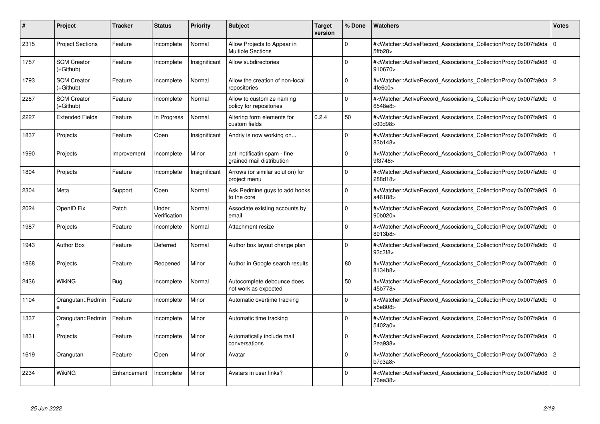| #    | <b>Project</b>                  | <b>Tracker</b> | <b>Status</b>         | <b>Priority</b> | <b>Subject</b>                                            | <b>Target</b><br>version | % Done      | <b>Watchers</b>                                                                                                                                          | <b>Votes</b>   |
|------|---------------------------------|----------------|-----------------------|-----------------|-----------------------------------------------------------|--------------------------|-------------|----------------------------------------------------------------------------------------------------------------------------------------------------------|----------------|
| 2315 | <b>Project Sections</b>         | Feature        | Incomplete            | Normal          | Allow Projects to Appear in<br><b>Multiple Sections</b>   |                          | $\Omega$    | # <watcher::activerecord associations="" collectionproxy:0x007fa9da<br="">5ffb28&gt;</watcher::activerecord>                                             | $\Omega$       |
| 1757 | <b>SCM Creator</b><br>(+Github) | Feature        | Incomplete            | Insignificant   | Allow subdirectories                                      |                          | $\Omega$    | # <watcher::activerecord 0<br="" associations="" collectionproxy:0x007fa9d8=""  ="">910670&gt;</watcher::activerecord>                                   |                |
| 1793 | <b>SCM Creator</b><br>(+Github) | Feature        | Incomplete            | Normal          | Allow the creation of non-local<br>repositories           |                          | $\Omega$    | # <watcher::activerecord_associations_collectionproxy:0x007fa9da<br>4fe6c0</watcher::activerecord_associations_collectionproxy:0x007fa9da<br>            | $\overline{2}$ |
| 2287 | <b>SCM Creator</b><br>(+Github) | Feature        | Incomplete            | Normal          | Allow to customize naming<br>policy for repositories      |                          | $\Omega$    | # <watcher::activerecord_associations_collectionproxy:0x007fa9db 0<br="">6548e8&gt;</watcher::activerecord_associations_collectionproxy:0x007fa9db>      |                |
| 2227 | <b>Extended Fields</b>          | Feature        | In Progress           | Normal          | Altering form elements for<br>custom fields               | 0.2.4                    | 50          | # <watcher::activerecord_associations_collectionproxy:0x007fa9d9<br>c00d98&gt;</watcher::activerecord_associations_collectionproxy:0x007fa9d9<br>        | $\mathbf 0$    |
| 1837 | Projects                        | Feature        | Open                  | Insignificant   | Andriy is now working on                                  |                          | $\Omega$    | # <watcher::activerecord_associations_collectionproxy:0x007fa9db 0<br="">83b148&gt;</watcher::activerecord_associations_collectionproxy:0x007fa9db>      |                |
| 1990 | Projects                        | Improvement    | Incomplete            | Minor           | anti notificatin spam - fine<br>grained mail distribution |                          | $\Omega$    | # <watcher::activerecord associations="" collectionproxy:0x007fa9da<br="">9f3748&gt;</watcher::activerecord>                                             |                |
| 1804 | Projects                        | Feature        | Incomplete            | Insignificant   | Arrows (or similar solution) for<br>project menu          |                          | $\Omega$    | # <watcher::activerecord_associations_collectionproxy:0x007fa9db 0<br=""  ="">288d18&gt;</watcher::activerecord_associations_collectionproxy:0x007fa9db> |                |
| 2304 | Meta                            | Support        | Open                  | Normal          | Ask Redmine guys to add hooks<br>to the core              |                          | $\Omega$    | # <watcher::activerecord_associations_collectionproxy:0x007fa9d9<br>a46188&gt;</watcher::activerecord_associations_collectionproxy:0x007fa9d9<br>        | $\Omega$       |
| 2024 | OpenID Fix                      | Patch          | Under<br>Verification | Normal          | Associate existing accounts by<br>email                   |                          | $\Omega$    | # <watcher::activerecord 0<br="" associations="" collectionproxy:0x007fa9d9=""  ="">90b020&gt;</watcher::activerecord>                                   |                |
| 1987 | Projects                        | Feature        | Incomplete            | Normal          | Attachment resize                                         |                          | $\Omega$    | # <watcher::activerecord_associations_collectionproxy:0x007fa9db<br>8913b8&gt;</watcher::activerecord_associations_collectionproxy:0x007fa9db<br>        | l O            |
| 1943 | <b>Author Box</b>               | Feature        | Deferred              | Normal          | Author box layout change plan                             |                          | $\Omega$    | # <watcher::activerecord_associations_collectionproxy:0x007fa9db 0<br=""  ="">93c3f8&gt;</watcher::activerecord_associations_collectionproxy:0x007fa9db> |                |
| 1868 | Projects                        | Feature        | Reopened              | Minor           | Author in Google search results                           |                          | 80          | # <watcher::activerecord associations="" collectionproxy:0x007fa9db<br="">8134b8&gt;</watcher::activerecord>                                             | 10             |
| 2436 | <b>WikiNG</b>                   | Bug            | Incomplete            | Normal          | Autocomplete debounce does<br>not work as expected        |                          | 50          | # <watcher::activerecord_associations_collectionproxy:0x007fa9d9 0<br="">45b778&gt;</watcher::activerecord_associations_collectionproxy:0x007fa9d9>      |                |
| 1104 | Orangutan::Redmin               | Feature        | Incomplete            | Minor           | Automatic overtime tracking                               |                          | $\Omega$    | # <watcher::activerecord associations="" collectionproxy:0x007fa9db<br="">a5e808&gt;</watcher::activerecord>                                             | $\overline{0}$ |
| 1337 | Orangutan::Redmin               | Feature        | Incomplete            | Minor           | Automatic time tracking                                   |                          | $\Omega$    | # <watcher::activerecord_associations_collectionproxy:0x007fa9da 0<br=""  ="">5402a0&gt;</watcher::activerecord_associations_collectionproxy:0x007fa9da> |                |
| 1831 | Projects                        | Feature        | Incomplete            | Minor           | Automatically include mail<br>conversations               |                          | $\Omega$    | # <watcher::activerecord_associations_collectionproxy:0x007fa9da 0<br=""  ="">2ea938&gt;</watcher::activerecord_associations_collectionproxy:0x007fa9da> |                |
| 1619 | Orangutan                       | Feature        | Open                  | Minor           | Avatar                                                    |                          | $\mathbf 0$ | # <watcher::activerecord_associations_collectionproxy:0x007fa9da 2<br="">b7c3a8</watcher::activerecord_associations_collectionproxy:0x007fa9da>          |                |
| 2234 | <b>WikiNG</b>                   | Enhancement    | Incomplete            | Minor           | Avatars in user links?                                    |                          | $\Omega$    | # <watcher::activerecord 0<br="" associations="" collectionproxy:0x007fa9d8=""  ="">76ea38&gt;</watcher::activerecord>                                   |                |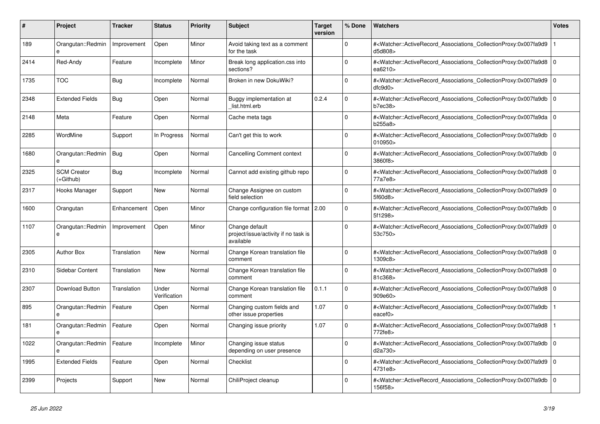| #    | <b>Project</b>                  | <b>Tracker</b> | <b>Status</b>         | <b>Priority</b> | <b>Subject</b>                                                      | <b>Target</b><br>version | % Done      | <b>Watchers</b>                                                                                                                                          | <b>Votes</b> |
|------|---------------------------------|----------------|-----------------------|-----------------|---------------------------------------------------------------------|--------------------------|-------------|----------------------------------------------------------------------------------------------------------------------------------------------------------|--------------|
| 189  | Orangutan::Redmin<br>e          | Improvement    | Open                  | Minor           | Avoid taking text as a comment<br>for the task                      |                          | $\Omega$    | # <watcher::activerecord_associations_collectionproxy:0x007fa9d9<br>d5d808&gt;</watcher::activerecord_associations_collectionproxy:0x007fa9d9<br>        |              |
| 2414 | Red-Andy                        | Feature        | Incomplete            | Minor           | Break long application.css into<br>sections?                        |                          | $\Omega$    | # <watcher::activerecord_associations_collectionproxy:0x007fa9d8 0<br="">ea6210&gt;</watcher::activerecord_associations_collectionproxy:0x007fa9d8>      |              |
| 1735 | <b>TOC</b>                      | <b>Bug</b>     | Incomplete            | Normal          | Broken in new DokuWiki?                                             |                          | $\mathbf 0$ | # <watcher::activerecord_associations_collectionproxy:0x007fa9d9 0<br=""  ="">dfc9d0</watcher::activerecord_associations_collectionproxy:0x007fa9d9>     |              |
| 2348 | <b>Extended Fields</b>          | Bug            | Open                  | Normal          | Buggy implementation at<br>list.html.erb                            | 0.2.4                    | $\Omega$    | # <watcher::activerecord_associations_collectionproxy:0x007fa9db<br>b7ec38</watcher::activerecord_associations_collectionproxy:0x007fa9db<br>            | $\Omega$     |
| 2148 | Meta                            | Feature        | Open                  | Normal          | Cache meta tags                                                     |                          | $\Omega$    | # <watcher::activerecord_associations_collectionproxy:0x007fa9da 0<br="">b255a8&gt;</watcher::activerecord_associations_collectionproxy:0x007fa9da>      |              |
| 2285 | WordMine                        | Support        | In Progress           | Normal          | Can't get this to work                                              |                          | $\mathbf 0$ | # <watcher::activerecord_associations_collectionproxy:0x007fa9db 0<br=""  ="">010950&gt;</watcher::activerecord_associations_collectionproxy:0x007fa9db> |              |
| 1680 | Orangutan::Redmin               | Bug            | Open                  | Normal          | <b>Cancelling Comment context</b>                                   |                          | $\Omega$    | # <watcher::activerecord_associations_collectionproxy:0x007fa9db<br>3860f8&gt;</watcher::activerecord_associations_collectionproxy:0x007fa9db<br>        | $\Omega$     |
| 2325 | <b>SCM Creator</b><br>(+Github) | Bug            | Incomplete            | Normal          | Cannot add existing github repo                                     |                          | $\Omega$    | # <watcher::activerecord 0<br="" associations="" collectionproxy:0x007fa9d8=""  ="">77a7e8&gt;</watcher::activerecord>                                   |              |
| 2317 | Hooks Manager                   | Support        | New                   | Normal          | Change Assignee on custom<br>field selection                        |                          | $\Omega$    | # <watcher::activerecord 0<br="" associations="" collectionproxy:0x007fa9d9=""  ="">5f60d8&gt;</watcher::activerecord>                                   |              |
| 1600 | Orangutan                       | Enhancement    | Open                  | Minor           | Change configuration file format   2.00                             |                          | $\Omega$    | # <watcher::activerecord_associations_collectionproxy:0x007fa9db 0<br=""  ="">5f1298&gt;</watcher::activerecord_associations_collectionproxy:0x007fa9db> |              |
| 1107 | Orangutan::Redmin<br>e          | Improvement    | Open                  | Minor           | Change default<br>project/issue/activity if no task is<br>available |                          | $\mathbf 0$ | # <watcher::activerecord 0<br="" associations="" collectionproxy:0x007fa9d9=""  ="">53c750&gt;</watcher::activerecord>                                   |              |
| 2305 | <b>Author Box</b>               | Translation    | New                   | Normal          | Change Korean translation file<br>comment                           |                          | $\Omega$    | # <watcher::activerecord 0<br="" associations="" collectionproxy:0x007fa9d8=""  ="">1309c8&gt;</watcher::activerecord>                                   |              |
| 2310 | Sidebar Content                 | Translation    | <b>New</b>            | Normal          | Change Korean translation file<br>comment                           |                          | $\mathbf 0$ | # <watcher::activerecord_associations_collectionproxy:0x007fa9d8 0<br=""  ="">81c368&gt;</watcher::activerecord_associations_collectionproxy:0x007fa9d8> |              |
| 2307 | <b>Download Button</b>          | Translation    | Under<br>Verification | Normal          | Change Korean translation file<br>comment                           | 0.1.1                    | $\Omega$    | # <watcher::activerecord_associations_collectionproxy:0x007fa9d8 0<br=""  ="">909e60&gt;</watcher::activerecord_associations_collectionproxy:0x007fa9d8> |              |
| 895  | Orangutan::Redmin<br>e          | Feature        | Open                  | Normal          | Changing custom fields and<br>other issue properties                | 1.07                     | $\Omega$    | # <watcher::activerecord associations="" collectionproxy:0x007fa9db<br="">eacef0&gt;</watcher::activerecord>                                             |              |
| 181  | Orangutan::Redmin<br>e          | Feature        | Open                  | Normal          | Changing issue priority                                             | 1.07                     | $\mathbf 0$ | # <watcher::activerecord associations="" collectionproxy:0x007fa9d8<br="">772fe8&gt;</watcher::activerecord>                                             |              |
| 1022 | Orangutan::Redmin               | Feature        | Incomplete            | Minor           | Changing issue status<br>depending on user presence                 |                          | $\Omega$    | # <watcher::activerecord_associations_collectionproxy:0x007fa9db 0<br=""  ="">d2a730&gt;</watcher::activerecord_associations_collectionproxy:0x007fa9db> |              |
| 1995 | <b>Extended Fields</b>          | Feature        | Open                  | Normal          | Checklist                                                           |                          | $\Omega$    | # <watcher::activerecord_associations_collectionproxy:0x007fa9d9 0<br=""  ="">4731e8&gt;</watcher::activerecord_associations_collectionproxy:0x007fa9d9> |              |
| 2399 | Projects                        | Support        | <b>New</b>            | Normal          | ChiliProject cleanup                                                |                          | $\Omega$    | # <watcher::activerecord_associations_collectionproxy:0x007fa9db 0<br=""  ="">156f58&gt;</watcher::activerecord_associations_collectionproxy:0x007fa9db> |              |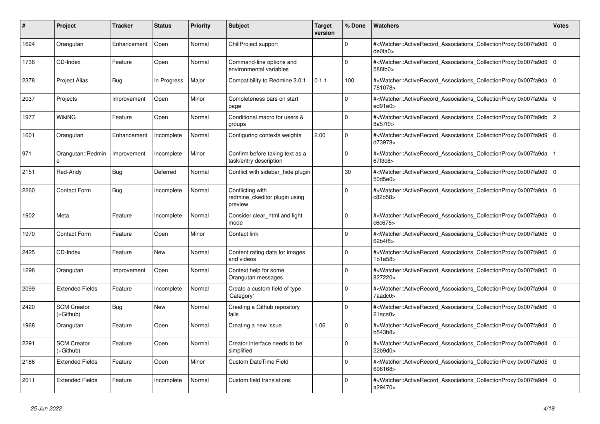| #    | <b>Project</b>                    | <b>Tracker</b> | <b>Status</b> | <b>Priority</b> | <b>Subject</b>                                               | <b>Target</b><br>version | % Done       | <b>Watchers</b>                                                                                                                                                     | <b>Votes</b>   |
|------|-----------------------------------|----------------|---------------|-----------------|--------------------------------------------------------------|--------------------------|--------------|---------------------------------------------------------------------------------------------------------------------------------------------------------------------|----------------|
| 1624 | Orangutan                         | Enhancement    | Open          | Normal          | ChiliProject support                                         |                          | $\Omega$     | # <watcher::activerecord_associations_collectionproxy:0x007fa9d9<br>de0fa0&gt;</watcher::activerecord_associations_collectionproxy:0x007fa9d9<br>                   | $\Omega$       |
| 1736 | CD-Index                          | Feature        | Open          | Normal          | Command-line options and<br>environmental variables          |                          | $\mathbf{0}$ | # <watcher::activerecord_associations_collectionproxy:0x007fa9d9<br>588fb0&gt;</watcher::activerecord_associations_collectionproxy:0x007fa9d9<br>                   | $\overline{0}$ |
| 2378 | <b>Project Alias</b>              | <b>Bug</b>     | In Progress   | Major           | Compatibility to Redmine 3.0.1                               | 0.1.1                    | 100          | # <watcher::activerecord_associations_collectionproxy:0x007fa9da 0<br="">781078&gt;</watcher::activerecord_associations_collectionproxy:0x007fa9da>                 |                |
| 2037 | Projects                          | Improvement    | Open          | Minor           | Completeness bars on start<br>page                           |                          | $\Omega$     | # <watcher::activerecord_associations_collectionproxy:0x007fa9da<br>ed91e0</watcher::activerecord_associations_collectionproxy:0x007fa9da<br>                       | $\Omega$       |
| 1977 | WikiNG                            | Feature        | Open          | Normal          | Conditional macro for users &<br>groups                      |                          | $\Omega$     | # <watcher::activerecord_associations_collectionproxy:0x007fa9db<br>8a57f0&gt;</watcher::activerecord_associations_collectionproxy:0x007fa9db<br>                   | $\overline{2}$ |
| 1601 | Orangutan                         | Enhancement    | Incomplete    | Normal          | Configuring contexts weights                                 | 2.00                     | $\Omega$     | # <watcher::activerecord associations="" collectionproxy:0x007fa9d9<br="">d73978&gt;</watcher::activerecord>                                                        | $\overline{0}$ |
| 971  | Orangutan::Redmin<br>$\mathbf{a}$ | Improvement    | Incomplete    | Minor           | Confirm before taking text as a<br>task/entry description    |                          | $\Omega$     | # <watcher::activerecord associations="" collectionproxy:0x007fa9da<br="">67f3c8&gt;</watcher::activerecord>                                                        |                |
| 2151 | Red-Andy                          | Bug            | Deferred      | Normal          | Conflict with sidebar_hide plugin                            |                          | 30           | # <watcher::activerecord_associations_collectionproxy:0x007fa9d9 0<br=""  ="">50d5e0&gt;</watcher::activerecord_associations_collectionproxy:0x007fa9d9>            |                |
| 2260 | <b>Contact Form</b>               | Bug            | Incomplete    | Normal          | Conflicting with<br>redmine ckeditor plugin using<br>preview |                          | $\Omega$     | # <watcher::activerecord_associations_collectionproxy:0x007fa9da 0<br=""  ="">c82b58&gt;</watcher::activerecord_associations_collectionproxy:0x007fa9da>            |                |
| 1902 | Meta                              | Feature        | Incomplete    | Normal          | Consider clear html and light<br>mode                        |                          | $\Omega$     | # <watcher::activerecord_associations_collectionproxy:0x007fa9da<br>c6c678&gt;</watcher::activerecord_associations_collectionproxy:0x007fa9da<br>                   | $\Omega$       |
| 1970 | <b>Contact Form</b>               | Feature        | Open          | Minor           | Contact link                                                 |                          | $\Omega$     | # <watcher::activerecord 0<br="" associations="" collectionproxy:0x007fa9d5=""  ="">62b4f8&gt;</watcher::activerecord>                                              |                |
| 2425 | CD-Index                          | Feature        | <b>New</b>    | Normal          | Content rating data for images<br>and videos                 |                          | $\Omega$     | # <watcher::activerecord associations="" collectionproxy:0x007fa9d5<br="">1b1a58</watcher::activerecord>                                                            | $\overline{0}$ |
| 1298 | Orangutan                         | Improvement    | Open          | Normal          | Context help for some<br>Orangutan messages                  |                          | $\Omega$     | # <watcher::activerecord_associations_collectionproxy:0x007fa9d5<br>827220&gt;</watcher::activerecord_associations_collectionproxy:0x007fa9d5<br>                   | l 0            |
| 2099 | <b>Extended Fields</b>            | Feature        | Incomplete    | Normal          | Create a custom field of type<br>'Category'                  |                          | $\Omega$     | # <watcher::activerecord_associations_collectionproxy:0x007fa9d4 0<br=""  ="">7aado0<sub>&gt;</sub></watcher::activerecord_associations_collectionproxy:0x007fa9d4> |                |
| 2420 | <b>SCM Creator</b><br>(+Github)   | Bug            | <b>New</b>    | Normal          | Creating a Github repository<br>fails                        |                          | $\Omega$     | # <watcher::activerecord associations="" collectionproxy:0x007fa9d6<br="">21acab</watcher::activerecord>                                                            | l 0            |
| 1968 | Orangutan                         | Feature        | Open          | Normal          | Creating a new issue                                         | 1.06                     | $\mathbf 0$  | # <watcher::activerecord_associations_collectionproxy:0x007fa9d4<br>b543b8&gt;</watcher::activerecord_associations_collectionproxy:0x007fa9d4<br>                   | 0              |
| 2291 | <b>SCM Creator</b><br>(+Github)   | Feature        | Open          | Normal          | Creator interface needs to be<br>simplified                  |                          | $\Omega$     | # <watcher::activerecord 0<br="" associations="" collectionproxy:0x007fa9d4=""  ="">22b9d0&gt;</watcher::activerecord>                                              |                |
| 2186 | <b>Extended Fields</b>            | Feature        | Open          | Minor           | <b>Custom DateTime Field</b>                                 |                          | $\Omega$     | # <watcher::activerecord associations="" collectionproxy:0x007fa9d5<br="">696168&gt;</watcher::activerecord>                                                        | l 0            |
| 2011 | <b>Extended Fields</b>            | Feature        | Incomplete    | Normal          | Custom field translations                                    |                          | $\Omega$     | # <watcher::activerecord_associations_collectionproxy:0x007fa9d4<br>a29470&gt;</watcher::activerecord_associations_collectionproxy:0x007fa9d4<br>                   | l o            |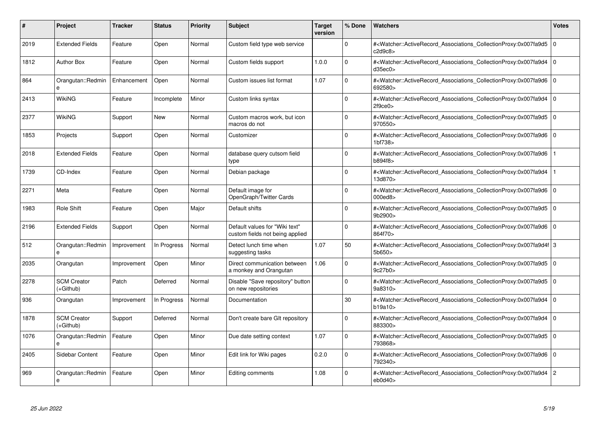| #    | Project                         | <b>Tracker</b> | <b>Status</b> | <b>Priority</b> | <b>Subject</b>                                                    | <b>Target</b><br>version | % Done      | <b>Watchers</b>                                                                                                                                           | <b>Votes</b> |
|------|---------------------------------|----------------|---------------|-----------------|-------------------------------------------------------------------|--------------------------|-------------|-----------------------------------------------------------------------------------------------------------------------------------------------------------|--------------|
| 2019 | <b>Extended Fields</b>          | Feature        | Open          | Normal          | Custom field type web service                                     |                          | $\Omega$    | # <watcher::activerecord_associations_collectionproxy:0x007fa9d5<br>c2d9c8</watcher::activerecord_associations_collectionproxy:0x007fa9d5<br>             | $\Omega$     |
| 1812 | <b>Author Box</b>               | Feature        | Open          | Normal          | Custom fields support                                             | 1.0.0                    | $\Omega$    | # <watcher::activerecord 0<br="" associations="" collectionproxy:0x007fa9d4=""  ="">d35ec0</watcher::activerecord>                                        |              |
| 864  | Orangutan::Redmin<br>e          | Enhancement    | Open          | Normal          | Custom issues list format                                         | 1.07                     | $\mathbf 0$ | # <watcher::activerecord_associations_collectionproxy:0x007fa9d6<br>692580&gt;</watcher::activerecord_associations_collectionproxy:0x007fa9d6<br>         | $\mathbf 0$  |
| 2413 | WikiNG                          | Feature        | Incomplete    | Minor           | Custom links syntax                                               |                          | $\Omega$    | # <watcher::activerecord_associations_collectionproxy:0x007fa9d4 0<br=""  ="">2f9ce0&gt;</watcher::activerecord_associations_collectionproxy:0x007fa9d4>  |              |
| 2377 | <b>WikiNG</b>                   | Support        | New           | Normal          | Custom macros work, but icon<br>macros do not                     |                          | $\Omega$    | # <watcher::activerecord associations="" collectionproxy:0x007fa9d5<br="">970550&gt;</watcher::activerecord>                                              | l O          |
| 1853 | Projects                        | Support        | Open          | Normal          | Customizer                                                        |                          | $\Omega$    | # <watcher::activerecord 0<br="" associations="" collectionproxy:0x007fa9d6=""  ="">1bf738&gt;</watcher::activerecord>                                    |              |
| 2018 | <b>Extended Fields</b>          | Feature        | Open          | Normal          | database query cutsom field<br>type                               |                          | $\Omega$    | # <watcher::activerecord_associations_collectionproxy:0x007fa9d6<br>b894f8&gt;</watcher::activerecord_associations_collectionproxy:0x007fa9d6<br>         |              |
| 1739 | CD-Index                        | Feature        | Open          | Normal          | Debian package                                                    |                          | $\Omega$    | # <watcher::activerecord_associations_collectionproxy:0x007fa9d4<br>13d870&gt;</watcher::activerecord_associations_collectionproxy:0x007fa9d4<br>         |              |
| 2271 | Meta                            | Feature        | Open          | Normal          | Default image for<br>OpenGraph/Twitter Cards                      |                          | $\Omega$    | # <watcher::activerecord 0<br="" associations="" collectionproxy:0x007fa9d6=""  ="">000ed8&gt;</watcher::activerecord>                                    |              |
| 1983 | Role Shift                      | Feature        | Open          | Major           | Default shifts                                                    |                          | $\mathbf 0$ | # <watcher::activerecord 0<br="" associations="" collectionproxy:0x007fa9d5=""  ="">9b2900&gt;</watcher::activerecord>                                    |              |
| 2196 | <b>Extended Fields</b>          | Support        | Open          | Normal          | Default values for "Wiki text"<br>custom fields not being applied |                          | $\Omega$    | # <watcher::activerecord_associations_collectionproxy:0x007fa9d6 0<br=""  ="">864f70&gt;</watcher::activerecord_associations_collectionproxy:0x007fa9d6>  |              |
| 512  | Orangutan::Redmin<br>e          | Improvement    | In Progress   | Normal          | Detect lunch time when<br>suggesting tasks                        | 1.07                     | 50          | # <watcher::activerecord_associations_collectionproxy:0x007fa9d4f 3<br=""  ="">5b650&gt;</watcher::activerecord_associations_collectionproxy:0x007fa9d4f> |              |
| 2035 | Orangutan                       | Improvement    | Open          | Minor           | Direct communication between<br>a monkey and Orangutan            | 1.06                     | $\Omega$    | # <watcher::activerecord 0<br="" associations="" collectionproxy:0x007fa9d5=""  ="">9c27b0</watcher::activerecord>                                        |              |
| 2278 | <b>SCM Creator</b><br>(+Github) | Patch          | Deferred      | Normal          | Disable "Save repository" button<br>on new repositories           |                          | $\mathbf 0$ | # <watcher::activerecord_associations_collectionproxy:0x007fa9d5 0<br="">9a8310&gt;</watcher::activerecord_associations_collectionproxy:0x007fa9d5>       |              |
| 936  | Orangutan                       | Improvement    | In Progress   | Normal          | Documentation                                                     |                          | 30          | # <watcher::activerecord_associations_collectionproxy:0x007fa9d4 0<br=""  ="">b19a10</watcher::activerecord_associations_collectionproxy:0x007fa9d4>      |              |
| 1878 | <b>SCM Creator</b><br>(+Github) | Support        | Deferred      | Normal          | Don't create bare GIt repository                                  |                          | $\Omega$    | # <watcher::activerecord associations="" collectionproxy:0x007fa9d4<br="">883300&gt;</watcher::activerecord>                                              | l 0          |
| 1076 | Orangutan::Redmin<br>e          | Feature        | Open          | Minor           | Due date setting context                                          | 1.07                     | $\mathbf 0$ | # <watcher::activerecord 0<br="" associations="" collectionproxy:0x007fa9d5=""  ="">793868&gt;</watcher::activerecord>                                    |              |
| 2405 | Sidebar Content                 | Feature        | Open          | Minor           | Edit link for Wiki pages                                          | 0.2.0                    | $\mathbf 0$ | # <watcher::activerecord associations="" collectionproxy:0x007fa9d6<br="">792340&gt;</watcher::activerecord>                                              | l 0          |
| 969  | Orangutan::Redmin<br>e          | Feature        | Open          | Minor           | Editing comments                                                  | 1.08                     | $\Omega$    | # <watcher::activerecord_associations_collectionproxy:0x007fa9d4<br>eb0d40&gt;</watcher::activerecord_associations_collectionproxy:0x007fa9d4<br>         | 2            |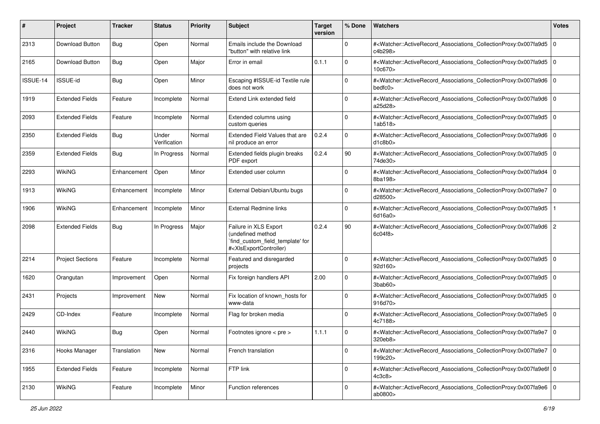| #        | Project                 | <b>Tracker</b> | <b>Status</b>         | <b>Priority</b> | <b>Subject</b>                                                                                                                                                                                                                                                                                                                     | <b>Target</b><br>version | % Done      | Watchers                                                                                                                                                                | <b>Votes</b>   |
|----------|-------------------------|----------------|-----------------------|-----------------|------------------------------------------------------------------------------------------------------------------------------------------------------------------------------------------------------------------------------------------------------------------------------------------------------------------------------------|--------------------------|-------------|-------------------------------------------------------------------------------------------------------------------------------------------------------------------------|----------------|
| 2313     | Download Button         | <b>Bug</b>     | Open                  | Normal          | Emails include the Download<br>"button" with relative link                                                                                                                                                                                                                                                                         |                          | 0           | # <watcher::activerecord_associations_collectionproxy:0x007fa9d5<br>c4b298&gt;</watcher::activerecord_associations_collectionproxy:0x007fa9d5<br>                       | l 0            |
| 2165     | Download Button         | <b>Bug</b>     | Open                  | Major           | Error in email                                                                                                                                                                                                                                                                                                                     | 0.1.1                    | $\Omega$    | # <watcher::activerecord_associations_collectionproxy:0x007fa9d5 0<br=""  ="">10c670&gt;</watcher::activerecord_associations_collectionproxy:0x007fa9d5>                |                |
| ISSUE-14 | ISSUE-id                | <b>Bug</b>     | Open                  | Minor           | Escaping #ISSUE-id Textile rule<br>does not work                                                                                                                                                                                                                                                                                   |                          | $\Omega$    | # <watcher::activerecord_associations_collectionproxy:0x007fa9d6 0<br=""  ="">bedfc0</watcher::activerecord_associations_collectionproxy:0x007fa9d6>                    |                |
| 1919     | <b>Extended Fields</b>  | Feature        | Incomplete            | Normal          | Extend Link extended field                                                                                                                                                                                                                                                                                                         |                          | $\Omega$    | # <watcher::activerecord 0<br="" associations="" collectionproxy:0x007fa9d6="">a25d28&gt;</watcher::activerecord>                                                       |                |
| 2093     | <b>Extended Fields</b>  | Feature        | Incomplete            | Normal          | Extended columns using<br>custom queries                                                                                                                                                                                                                                                                                           |                          | $\Omega$    | # <watcher::activerecord_associations_collectionproxy:0x007fa9d5<br>1ab518</watcher::activerecord_associations_collectionproxy:0x007fa9d5<br>                           | $\overline{0}$ |
| 2350     | <b>Extended Fields</b>  | <b>Bug</b>     | Under<br>Verification | Normal          | Extended Field Values that are<br>nil produce an error                                                                                                                                                                                                                                                                             | 0.2.4                    | $\Omega$    | # <watcher::activerecord_associations_collectionproxy:0x007fa9d6<br>d1c8b0</watcher::activerecord_associations_collectionproxy:0x007fa9d6<br>                           | l O            |
| 2359     | <b>Extended Fields</b>  | <b>Bug</b>     | In Progress           | Normal          | Extended fields plugin breaks<br>PDF export                                                                                                                                                                                                                                                                                        | 0.2.4                    | $90\,$      | # <watcher::activerecord_associations_collectionproxy:0x007fa9d5<br>74de30&gt;</watcher::activerecord_associations_collectionproxy:0x007fa9d5<br>                       | l O            |
| 2293     | WikiNG                  | Enhancement    | Open                  | Minor           | Extended user column                                                                                                                                                                                                                                                                                                               |                          | 0           | # <watcher::activerecord_associations_collectionproxy:0x007fa9d4 0<br=""  ="">8ba198&gt;</watcher::activerecord_associations_collectionproxy:0x007fa9d4>                |                |
| 1913     | WikiNG                  | Enhancement    | Incomplete            | Minor           | External Debian/Ubuntu bugs                                                                                                                                                                                                                                                                                                        |                          | $\mathbf 0$ | # <watcher::activerecord_associations_collectionproxy:0x007fa9e7 0<br=""  ="">d28500&gt;</watcher::activerecord_associations_collectionproxy:0x007fa9e7>                |                |
| 1906     | <b>WikiNG</b>           | Enhancement    | Incomplete            | Minor           | <b>External Redmine links</b>                                                                                                                                                                                                                                                                                                      |                          | $\Omega$    | # <watcher::activerecord associations="" collectionproxy:0x007fa9d5<br="">6d16a0</watcher::activerecord>                                                                |                |
| 2098     | <b>Extended Fields</b>  | <b>Bug</b>     | In Progress           | Major           | Failure in XLS Export<br>(undefined method<br>`find_custom_field_template' for<br># <xisexportcontroller)< td=""><td>0.2.4</td><td>90</td><td>#<watcher::activerecord_associations_collectionproxy:0x007fa9d6 2<br="">6c04f8</watcher::activerecord_associations_collectionproxy:0x007fa9d6></td><td></td></xisexportcontroller)<> | 0.2.4                    | 90          | # <watcher::activerecord_associations_collectionproxy:0x007fa9d6 2<br="">6c04f8</watcher::activerecord_associations_collectionproxy:0x007fa9d6>                         |                |
| 2214     | <b>Project Sections</b> | Feature        | Incomplete            | Normal          | Featured and disregarded<br>projects                                                                                                                                                                                                                                                                                               |                          | $\Omega$    | # <watcher::activerecord_associations_collectionproxy:0x007fa9d5 0<br=""  ="">92d160&gt;</watcher::activerecord_associations_collectionproxy:0x007fa9d5>                |                |
| 1620     | Orangutan               | Improvement    | Open                  | Normal          | Fix foreign handlers API                                                                                                                                                                                                                                                                                                           | 2.00                     | 0           | # <watcher::activerecord_associations_collectionproxy:0x007fa9d5<br><math>3</math>bab<math>60</math></watcher::activerecord_associations_collectionproxy:0x007fa9d5<br> | $\overline{0}$ |
| 2431     | Projects                | Improvement    | New                   | Normal          | Fix location of known hosts for<br>www-data                                                                                                                                                                                                                                                                                        |                          | $\mathbf 0$ | # <watcher::activerecord_associations_collectionproxy:0x007fa9d5 0<br=""  ="">916d70&gt;</watcher::activerecord_associations_collectionproxy:0x007fa9d5>                |                |
| 2429     | CD-Index                | Feature        | Incomplete            | Normal          | Flag for broken media                                                                                                                                                                                                                                                                                                              |                          | $\Omega$    | # <watcher::activerecord_associations_collectionproxy:0x007fa9e5 0<br=""  ="">4c7188&gt;</watcher::activerecord_associations_collectionproxy:0x007fa9e5>                |                |
| 2440     | <b>WikiNG</b>           | <b>Bug</b>     | Open                  | Normal          | Footnotes ignore < pre >                                                                                                                                                                                                                                                                                                           | 1.1.1                    | 0           | # <watcher::activerecord_associations_collectionproxy:0x007fa9e7 0<br=""  ="">320eb8&gt;</watcher::activerecord_associations_collectionproxy:0x007fa9e7>                |                |
| 2316     | Hooks Manager           | Translation    | New                   | Normal          | French translation                                                                                                                                                                                                                                                                                                                 |                          | $\mathbf 0$ | # <watcher::activerecord_associations_collectionproxy:0x007fa9e7 0<br=""  ="">199c20&gt;</watcher::activerecord_associations_collectionproxy:0x007fa9e7>                |                |
| 1955     | <b>Extended Fields</b>  | Feature        | Incomplete            | Normal          | FTP link                                                                                                                                                                                                                                                                                                                           |                          | $\mathbf 0$ | # <watcher::activerecord_associations_collectionproxy:0x007fa9e6f 0<br="">4c3c8</watcher::activerecord_associations_collectionproxy:0x007fa9e6f>                        |                |
| 2130     | WikiNG                  | Feature        | Incomplete            | Minor           | Function references                                                                                                                                                                                                                                                                                                                |                          | $\Omega$    | # <watcher::activerecord 0<br="" associations="" collectionproxy:0x007fa9e6="">ab0800&gt;</watcher::activerecord>                                                       |                |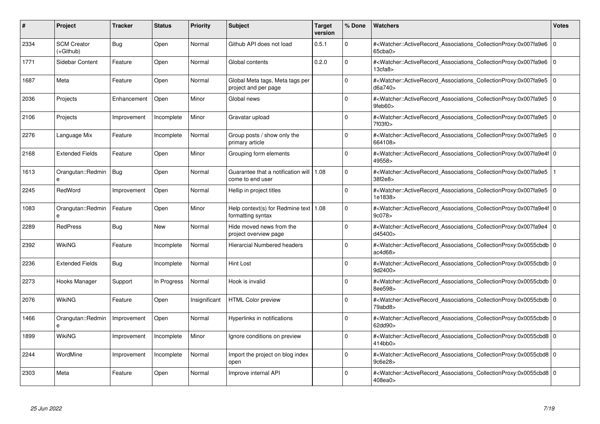| #    | Project                         | Tracker     | <b>Status</b> | <b>Priority</b> | <b>Subject</b>                                                | <b>Target</b><br>version | % Done   | <b>Watchers</b>                                                                                                                                          | <b>Votes</b> |
|------|---------------------------------|-------------|---------------|-----------------|---------------------------------------------------------------|--------------------------|----------|----------------------------------------------------------------------------------------------------------------------------------------------------------|--------------|
| 2334 | <b>SCM Creator</b><br>(+Github) | Bug         | Open          | Normal          | Github API does not load                                      | 0.5.1                    | $\Omega$ | # <watcher::activerecord associations="" collectionproxy:0x007fa9e6<br="">65cba0&gt;</watcher::activerecord>                                             | $\Omega$     |
| 1771 | Sidebar Content                 | Feature     | Open          | Normal          | Global contents                                               | 0.2.0                    | $\Omega$ | # <watcher::activerecord 0<br="" associations="" collectionproxy:0x007fa9e6=""  ="">13cfa8&gt;</watcher::activerecord>                                   |              |
| 1687 | Meta                            | Feature     | Open          | Normal          | Global Meta tags, Meta tags per<br>project and per page       |                          | $\Omega$ | # <watcher::activerecord_associations_collectionproxy:0x007fa9e5<br>d6a740&gt;</watcher::activerecord_associations_collectionproxy:0x007fa9e5<br>        | $\Omega$     |
| 2036 | Projects                        | Enhancement | Open          | Minor           | Global news                                                   |                          | $\Omega$ | # <watcher::activerecord_associations_collectionproxy:0x007fa9e5 0<br="">9feb60</watcher::activerecord_associations_collectionproxy:0x007fa9e5>          |              |
| 2106 | Projects                        | Improvement | Incomplete    | Minor           | Gravatar upload                                               |                          | $\Omega$ | # <watcher::activerecord_associations_collectionproxy:0x007fa9e5 0<br=""  ="">7f03f0&gt;</watcher::activerecord_associations_collectionproxy:0x007fa9e5> |              |
| 2276 | Language Mix                    | Feature     | Incomplete    | Normal          | Group posts / show only the<br>primary article                |                          | $\Omega$ | # <watcher::activerecord_associations_collectionproxy:0x007fa9e5 0<br="">664108&gt;</watcher::activerecord_associations_collectionproxy:0x007fa9e5>      |              |
| 2168 | <b>Extended Fields</b>          | Feature     | Open          | Minor           | Grouping form elements                                        |                          | $\Omega$ | # <watcher::activerecord 0<br="" associations="" collectionproxy:0x007fa9e4f=""  ="">49558&gt;</watcher::activerecord>                                   |              |
| 1613 | Orangutan::Redmin               | Bug         | Open          | Normal          | Guarantee that a notification will   1.08<br>come to end user |                          | $\Omega$ | # <watcher::activerecord_associations_collectionproxy:0x007fa9e5<br>38f2e8&gt;</watcher::activerecord_associations_collectionproxy:0x007fa9e5<br>        |              |
| 2245 | RedWord                         | Improvement | Open          | Normal          | Hellip in project titles                                      |                          | $\Omega$ | # <watcher::activerecord 0<br="" associations="" collectionproxy:0x007fa9e5=""  ="">1e1838&gt;</watcher::activerecord>                                   |              |
| 1083 | Orangutan::Redmin<br>e          | Feature     | Open          | Minor           | Help context(s) for Redmine text   1.08<br>formatting syntax  |                          | $\Omega$ | # <watcher::activerecord 0<br="" associations="" collectionproxy:0x007fa9e4f=""  ="">9c078</watcher::activerecord>                                       |              |
| 2289 | <b>RedPress</b>                 | <b>Bug</b>  | <b>New</b>    | Normal          | Hide moved news from the<br>project overview page             |                          | $\Omega$ | # <watcher::activerecord_associations_collectionproxy:0x007fa9e4 0<br=""  ="">d45400&gt;</watcher::activerecord_associations_collectionproxy:0x007fa9e4> |              |
| 2392 | <b>WikiNG</b>                   | Feature     | Incomplete    | Normal          | <b>Hierarcial Numbered headers</b>                            |                          | $\Omega$ | # <watcher::activerecord 0<br="" associations="" collectionproxy:0x0055cbdb=""  ="">ac4d68</watcher::activerecord>                                       |              |
| 2236 | <b>Extended Fields</b>          | Bug         | Incomplete    | Normal          | <b>Hint Lost</b>                                              |                          | $\Omega$ | # <watcher::activerecord 0<br="" associations="" collectionproxy:0x0055cbdb=""  ="">9d2400&gt;</watcher::activerecord>                                   |              |
| 2273 | Hooks Manager                   | Support     | In Progress   | Normal          | Hook is invalid                                               |                          | $\Omega$ | # <watcher::activerecord_associations_collectionproxy:0x0055cbdb 0<br=""  ="">8ee598&gt;</watcher::activerecord_associations_collectionproxy:0x0055cbdb> |              |
| 2076 | WikiNG                          | Feature     | Open          | Insignificant   | <b>HTML Color preview</b>                                     |                          | $\Omega$ | # <watcher::activerecord 0<br="" associations="" collectionproxy:0x0055cbdb=""  ="">79abd8&gt;</watcher::activerecord>                                   |              |
| 1466 | Orangutan::Redmin<br>e          | Improvement | Open          | Normal          | Hyperlinks in notifications                                   |                          | $\Omega$ | # <watcher::activerecord_associations_collectionproxy:0x0055cbdb 0<br=""  ="">62dd90&gt;</watcher::activerecord_associations_collectionproxy:0x0055cbdb> |              |
| 1899 | WikiNG                          | Improvement | Incomplete    | Minor           | Ignore conditions on preview                                  |                          | $\Omega$ | # <watcher::activerecord_associations_collectionproxy:0x0055cbd8 0<br=""  ="">414bb0&gt;</watcher::activerecord_associations_collectionproxy:0x0055cbd8> |              |
| 2244 | WordMine                        | Improvement | Incomplete    | Normal          | Import the project on blog index<br>open                      |                          | $\Omega$ | # <watcher::activerecord 0<br="" associations="" collectionproxy:0x0055cbd8=""  ="">9c6e28&gt;</watcher::activerecord>                                   |              |
| 2303 | Meta                            | Feature     | Open          | Normal          | Improve internal API                                          |                          | $\Omega$ | # <watcher::activerecord_associations_collectionproxy:0x0055cbd8 0<br="">408ea0&gt;</watcher::activerecord_associations_collectionproxy:0x0055cbd8>      |              |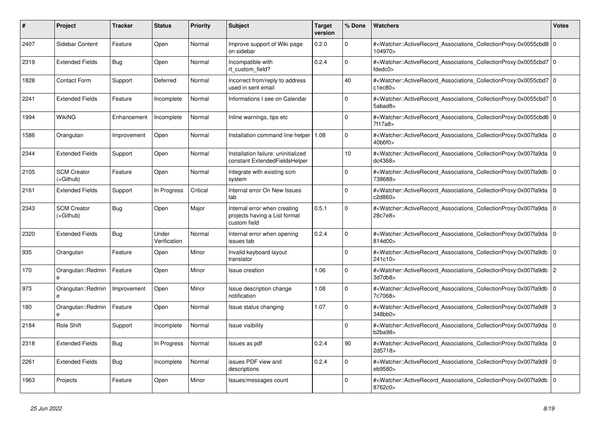| #    | <b>Project</b>                    | <b>Tracker</b> | <b>Status</b>         | <b>Priority</b> | <b>Subject</b>                                                                | <b>Target</b><br>version | % Done      | <b>Watchers</b>                                                                                                                                                     | <b>Votes</b>   |
|------|-----------------------------------|----------------|-----------------------|-----------------|-------------------------------------------------------------------------------|--------------------------|-------------|---------------------------------------------------------------------------------------------------------------------------------------------------------------------|----------------|
| 2407 | Sidebar Content                   | Feature        | Open                  | Normal          | Improve support of Wiki page<br>on sidebar                                    | 0.2.0                    | $\mathbf 0$ | # <watcher::activerecord_associations_collectionproxy:0x0055cbd8 0<br=""  ="">104970&gt;</watcher::activerecord_associations_collectionproxy:0x0055cbd8>            |                |
| 2319 | <b>Extended Fields</b>            | Bug            | Open                  | Normal          | Incompatible with<br>rt custom field?                                         | 0.2.4                    | $\Omega$    | # <watcher::activerecord_associations_collectionproxy:0x0055cbd7 0<br=""  ="">fdedc0&gt;</watcher::activerecord_associations_collectionproxy:0x0055cbd7>            |                |
| 1828 | <b>Contact Form</b>               | Support        | Deferred              | Normal          | Incorrect from/reply to address<br>used in sent email                         |                          | 40          | # <watcher::activerecord_associations_collectionproxy:0x0055cbd7 0<br=""  ="">c1ec80</watcher::activerecord_associations_collectionproxy:0x0055cbd7>                |                |
| 2241 | <b>Extended Fields</b>            | Feature        | Incomplete            | Normal          | Informations I see on Calendar                                                |                          | $\Omega$    | # <watcher::activerecord_associations_collectionproxy:0x0055cbd7 0<br=""  ="">5abad8&gt;</watcher::activerecord_associations_collectionproxy:0x0055cbd7>            |                |
| 1994 | WikiNG                            | Enhancement    | Incomplete            | Normal          | Inline warnings, tips etc                                                     |                          | $\Omega$    | # <watcher::activerecord_associations_collectionproxy:0x0055cbd6 0<br="">7f17a8&gt;</watcher::activerecord_associations_collectionproxy:0x0055cbd6>                 |                |
| 1586 | Orangutan                         | Improvement    | Open                  | Normal          | Installation command line helper   1.08                                       |                          | $\mathbf 0$ | # <watcher::activerecord_associations_collectionproxy:0x007fa9da 0<br=""  ="">40<sub>b6f0&gt;</sub></watcher::activerecord_associations_collectionproxy:0x007fa9da> |                |
| 2344 | <b>Extended Fields</b>            | Support        | Open                  | Normal          | Installation failure: uninitialized<br>constant ExtendedFieldsHelper          |                          | 10          | # <watcher::activerecord_associations_collectionproxy:0x007fa9da<br>dc4368&gt;</watcher::activerecord_associations_collectionproxy:0x007fa9da<br>                   | $\Omega$       |
| 2105 | <b>SCM Creator</b><br>(+Github)   | Feature        | Open                  | Normal          | Integrate with existing scm<br>system                                         |                          | $\Omega$    | # <watcher::activerecord 0<br="" associations="" collectionproxy:0x007fa9db=""  ="">738688&gt;</watcher::activerecord>                                              |                |
| 2161 | <b>Extended Fields</b>            | Support        | In Progress           | Critical        | Internal error On New Issues<br>tab                                           |                          | $\Omega$    | # <watcher::activerecord 0<br="" associations="" collectionproxy:0x007fa9da=""  ="">c2d860&gt;</watcher::activerecord>                                              |                |
| 2343 | <b>SCM Creator</b><br>$(+Github)$ | Bug            | Open                  | Major           | Internal error when creating<br>projects having a List format<br>custom field | 0.5.1                    | $\Omega$    | # <watcher::activerecord_associations_collectionproxy:0x007fa9da 0<br=""  ="">28c7e8&gt;</watcher::activerecord_associations_collectionproxy:0x007fa9da>            |                |
| 2320 | <b>Extended Fields</b>            | <b>Bug</b>     | Under<br>Verification | Normal          | Internal error when opening<br>issues tab                                     | 0.2.4                    | $\Omega$    | # <watcher::activerecord_associations_collectionproxy:0x007fa9da 0<br=""  ="">814d00&gt;</watcher::activerecord_associations_collectionproxy:0x007fa9da>            |                |
| 935  | Orangutan                         | Feature        | Open                  | Minor           | Invalid keyboard layout<br>translator                                         |                          | $\Omega$    | # <watcher::activerecord 0<br="" associations="" collectionproxy:0x007fa9db=""  ="">241c10&gt;</watcher::activerecord>                                              |                |
| 170  | Orangutan::Redmin<br>е            | Feature        | Open                  | Minor           | Issue creation                                                                | 1.06                     | $\mathbf 0$ | # <watcher::activerecord associations="" collectionproxy:0x007fa9db<br="">3d7db8&gt;</watcher::activerecord>                                                        | $\overline{2}$ |
| 973  | Orangutan::Redmin<br>e            | Improvement    | Open                  | Minor           | Issue description change<br>notification                                      | 1.08                     | $\Omega$    | # <watcher::activerecord_associations_collectionproxy:0x007fa9db 0<br=""  ="">7c7068&gt;</watcher::activerecord_associations_collectionproxy:0x007fa9db>            |                |
| 180  | Orangutan::Redmin<br>e            | Feature        | Open                  | Normal          | Issue status changing                                                         | 1.07                     | $\Omega$    | # <watcher::activerecord 3<br="" associations="" collectionproxy:0x007fa9d9="">348bb0&gt;</watcher::activerecord>                                                   |                |
| 2184 | Role Shift                        | Support        | Incomplete            | Normal          | Issue visibility                                                              |                          | $\mathbf 0$ | # <watcher::activerecord associations="" collectionproxy:0x007fa9da<br="">b2ba98</watcher::activerecord>                                                            | l 0            |
| 2318 | <b>Extended Fields</b>            | Bug            | In Progress           | Normal          | Issues as pdf                                                                 | 0.2.4                    | 90          | # <watcher::activerecord_associations_collectionproxy:0x007fa9da 0<br=""  ="">2d5718&gt;</watcher::activerecord_associations_collectionproxy:0x007fa9da>            |                |
| 2261 | <b>Extended Fields</b>            | Bug            | Incomplete            | Normal          | issues PDF view and<br>descriptions                                           | 0.2.4                    | $\Omega$    | # <watcher::activerecord_associations_collectionproxy:0x007fa9d9 0<br=""  ="">eb9580&gt;</watcher::activerecord_associations_collectionproxy:0x007fa9d9>            |                |
| 1963 | Projects                          | Feature        | Open                  | Minor           | Issues/messages count                                                         |                          | $\Omega$    | # <watcher::activerecord_associations_collectionproxy:0x007fa9db 0<br=""  ="">8762c0&gt;</watcher::activerecord_associations_collectionproxy:0x007fa9db>            |                |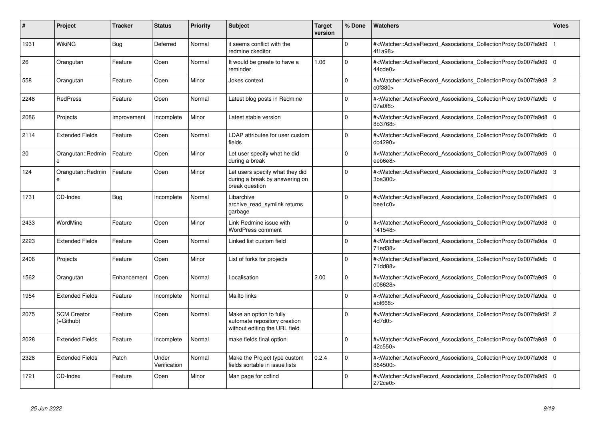| #    | Project                         | <b>Tracker</b> | <b>Status</b>         | <b>Priority</b> | <b>Subject</b>                                                                           | <b>Target</b><br>version | % Done   | <b>Watchers</b>                                                                                                                                     | <b>Votes</b>   |
|------|---------------------------------|----------------|-----------------------|-----------------|------------------------------------------------------------------------------------------|--------------------------|----------|-----------------------------------------------------------------------------------------------------------------------------------------------------|----------------|
| 1931 | <b>WikiNG</b>                   | Bug            | Deferred              | Normal          | it seems conflict with the<br>redmine ckeditor                                           |                          | $\Omega$ | # <watcher::activerecord_associations_collectionproxy:0x007fa9d9<br>4f1a98&gt;</watcher::activerecord_associations_collectionproxy:0x007fa9d9<br>   |                |
| 26   | Orangutan                       | Feature        | Open                  | Normal          | It would be greate to have a<br>reminder                                                 | 1.06                     | $\Omega$ | # <watcher::activerecord associations="" collectionproxy:0x007fa9d9<br="">44cde0&gt;</watcher::activerecord>                                        | 0              |
| 558  | Orangutan                       | Feature        | Open                  | Minor           | Jokes context                                                                            |                          | $\Omega$ | # <watcher::activerecord_associations_collectionproxy:0x007fa9d8 2<br="">c0f380&gt;</watcher::activerecord_associations_collectionproxy:0x007fa9d8> |                |
| 2248 | <b>RedPress</b>                 | Feature        | Open                  | Normal          | Latest blog posts in Redmine                                                             |                          | $\Omega$ | # <watcher::activerecord associations="" collectionproxy:0x007fa9db<br="">07a0f8&gt;</watcher::activerecord>                                        | $\overline{0}$ |
| 2086 | Projects                        | Improvement    | Incomplete            | Minor           | Latest stable version                                                                    |                          | $\Omega$ | # <watcher::activerecord associations="" collectionproxy:0x007fa9d8<br="">8b3768&gt;</watcher::activerecord>                                        | 0              |
| 2114 | <b>Extended Fields</b>          | Feature        | Open                  | Normal          | LDAP attributes for user custom<br>fields                                                |                          | $\Omega$ | # <watcher::activerecord_associations_collectionproxy:0x007fa9db<br>dc4290&gt;</watcher::activerecord_associations_collectionproxy:0x007fa9db<br>   | 0              |
| 20   | Orangutan::Redmin               | Feature        | Open                  | Minor           | Let user specify what he did<br>during a break                                           |                          | $\Omega$ | # <watcher::activerecord_associations_collectionproxy:0x007fa9d9<br>eeb6e8&gt;</watcher::activerecord_associations_collectionproxy:0x007fa9d9<br>   | l o            |
| 124  | Orangutan::Redmin<br>e          | Feature        | Open                  | Minor           | Let users specify what they did<br>during a break by answering on<br>break question      |                          | $\Omega$ | # <watcher::activerecord_associations_collectionproxy:0x007fa9d9<br>3ba300&gt;</watcher::activerecord_associations_collectionproxy:0x007fa9d9<br>   | 3              |
| 1731 | CD-Index                        | Bug            | Incomplete            | Normal          | Libarchive<br>archive_read_symlink returns<br>garbage                                    |                          | $\Omega$ | # <watcher::activerecord associations="" collectionproxy:0x007fa9d9<br="">beefc0</watcher::activerecord>                                            | l O            |
| 2433 | WordMine                        | Feature        | Open                  | Minor           | Link Redmine issue with<br><b>WordPress comment</b>                                      |                          | $\Omega$ | # <watcher::activerecord associations="" collectionproxy:0x007fa9d8<br="">141548&gt;</watcher::activerecord>                                        | l O            |
| 2223 | <b>Extended Fields</b>          | Feature        | Open                  | Normal          | Linked list custom field                                                                 |                          | 0        | # <watcher::activerecord associations="" collectionproxy:0x007fa9da<br="">71ed38&gt;</watcher::activerecord>                                        | 0              |
| 2406 | Projects                        | Feature        | Open                  | Minor           | List of forks for projects                                                               |                          | $\Omega$ | # <watcher::activerecord_associations_collectionproxy:0x007fa9db<br>71dd88&gt;</watcher::activerecord_associations_collectionproxy:0x007fa9db<br>   | l o            |
| 1562 | Orangutan                       | Enhancement    | Open                  | Normal          | Localisation                                                                             | 2.00                     | $\Omega$ | # <watcher::activerecord_associations_collectionproxy:0x007fa9d9<br>d08628&gt;</watcher::activerecord_associations_collectionproxy:0x007fa9d9<br>   | 0              |
| 1954 | <b>Extended Fields</b>          | Feature        | Incomplete            | Normal          | Mailto links                                                                             |                          | $\Omega$ | # <watcher::activerecord_associations_collectionproxy:0x007fa9da<br>abf668&gt;</watcher::activerecord_associations_collectionproxy:0x007fa9da<br>   | l o            |
| 2075 | <b>SCM Creator</b><br>(+Github) | Feature        | Open                  | Normal          | Make an option to fully<br>automate repository creation<br>without editing the URL field |                          | $\Omega$ | # <watcher::activerecord 2<br="" associations="" collectionproxy:0x007fa9d9f="">4d7d0&gt;</watcher::activerecord>                                   |                |
| 2028 | <b>Extended Fields</b>          | Feature        | Incomplete            | Normal          | make fields final option                                                                 |                          | $\Omega$ | # <watcher::activerecord_associations_collectionproxy:0x007fa9d8<br>42c550&gt;</watcher::activerecord_associations_collectionproxy:0x007fa9d8<br>   | 0              |
| 2328 | <b>Extended Fields</b>          | Patch          | Under<br>Verification | Normal          | Make the Project type custom<br>fields sortable in issue lists                           | 0.2.4                    | $\Omega$ | # <watcher::activerecord_associations_collectionproxy:0x007fa9d8<br>864500&gt;</watcher::activerecord_associations_collectionproxy:0x007fa9d8<br>   | ۱o             |
| 1721 | CD-Index                        | Feature        | Open                  | Minor           | Man page for cdfind                                                                      |                          | $\Omega$ | # <watcher::activerecord_associations_collectionproxy:0x007fa9d9<br>272ce0&gt;</watcher::activerecord_associations_collectionproxy:0x007fa9d9<br>   | $\overline{0}$ |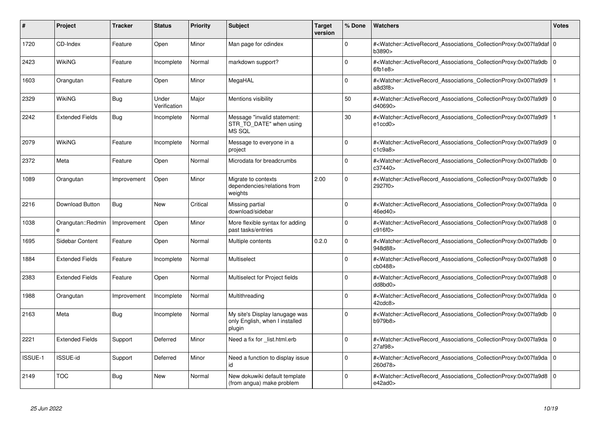| #              | Project                | <b>Tracker</b> | <b>Status</b>         | <b>Priority</b> | <b>Subject</b>                                                             | <b>Target</b><br>version | % Done      | <b>Watchers</b>                                                                                                                                   | <b>Votes</b>   |
|----------------|------------------------|----------------|-----------------------|-----------------|----------------------------------------------------------------------------|--------------------------|-------------|---------------------------------------------------------------------------------------------------------------------------------------------------|----------------|
| 1720           | CD-Index               | Feature        | Open                  | Minor           | Man page for cdindex                                                       |                          | $\Omega$    | # <watcher::activerecord 0<br="" associations="" collectionproxy:0x007fa9daf=""  ="">b3890&gt;</watcher::activerecord>                            |                |
| 2423           | <b>WikiNG</b>          | Feature        | Incomplete            | Normal          | markdown support?                                                          |                          | $\Omega$    | # <watcher::activerecord_associations_collectionproxy:0x007fa9db<br>6fb1e8</watcher::activerecord_associations_collectionproxy:0x007fa9db<br>     | 0              |
| 1603           | Orangutan              | Feature        | Open                  | Minor           | MegaHAL                                                                    |                          | $\Omega$    | # <watcher::activerecord_associations_collectionproxy:0x007fa9d9<br>a8d3f8</watcher::activerecord_associations_collectionproxy:0x007fa9d9<br>     |                |
| 2329           | <b>WikiNG</b>          | <b>Bug</b>     | Under<br>Verification | Major           | Mentions visibility                                                        |                          | 50          | # <watcher::activerecord_associations_collectionproxy:0x007fa9d9<br>d40690&gt;</watcher::activerecord_associations_collectionproxy:0x007fa9d9<br> | l O            |
| 2242           | <b>Extended Fields</b> | <b>Bug</b>     | Incomplete            | Normal          | Message "invalid statement:<br>STR TO DATE" when using<br>MS SQL           |                          | 30          | # <watcher::activerecord associations="" collectionproxy:0x007fa9d9<br="">e1ccd0</watcher::activerecord>                                          |                |
| 2079           | WikiNG                 | Feature        | Incomplete            | Normal          | Message to everyone in a<br>project                                        |                          | $\Omega$    | # <watcher::activerecord_associations_collectionproxy:0x007fa9d9<br>c1c9a8</watcher::activerecord_associations_collectionproxy:0x007fa9d9<br>     | $\overline{0}$ |
| 2372           | Meta                   | Feature        | Open                  | Normal          | Microdata for breadcrumbs                                                  |                          | $\Omega$    | # <watcher::activerecord associations="" collectionproxy:0x007fa9db<br="">c37440&gt;</watcher::activerecord>                                      | $\overline{0}$ |
| 1089           | Orangutan              | Improvement    | Open                  | Minor           | Migrate to contexts<br>dependencies/relations from<br>weights              | 2.00                     | $\Omega$    | # <watcher::activerecord_associations_collectionproxy:0x007fa9db<br>2927f0&gt;</watcher::activerecord_associations_collectionproxy:0x007fa9db<br> | 0              |
| 2216           | Download Button        | Bug            | <b>New</b>            | Critical        | Missing partial<br>download/sidebar                                        |                          | $\Omega$    | # <watcher::activerecord_associations_collectionproxy:0x007fa9da<br>46ed40&gt;</watcher::activerecord_associations_collectionproxy:0x007fa9da<br> | ۱o             |
| 1038           | Orangutan::Redmin      | Improvement    | Open                  | Minor           | More flexible syntax for adding<br>past tasks/entries                      |                          | $\Omega$    | # <watcher::activerecord_associations_collectionproxy:0x007fa9d8<br>c916f0&gt;</watcher::activerecord_associations_collectionproxy:0x007fa9d8<br> | l 0            |
| 1695           | Sidebar Content        | Feature        | Open                  | Normal          | Multiple contents                                                          | 0.2.0                    | $\Omega$    | # <watcher::activerecord_associations_collectionproxy:0x007fa9db<br>948d88&gt;</watcher::activerecord_associations_collectionproxy:0x007fa9db<br> | 0              |
| 1884           | <b>Extended Fields</b> | Feature        | Incomplete            | Normal          | Multiselect                                                                |                          | $\Omega$    | # <watcher::activerecord_associations_collectionproxy:0x007fa9d8<br>cb0488&gt;</watcher::activerecord_associations_collectionproxy:0x007fa9d8<br> | 0              |
| 2383           | <b>Extended Fields</b> | Feature        | Open                  | Normal          | Multiselect for Project fields                                             |                          | $\Omega$    | # <watcher::activerecord associations="" collectionproxy:0x007fa9d8<br="">dd8bd0&gt;</watcher::activerecord>                                      | 0              |
| 1988           | Orangutan              | Improvement    | Incomplete            | Normal          | Multithreading                                                             |                          | $\Omega$    | # <watcher::activerecord associations="" collectionproxy:0x007fa9da<br="">42cdc8</watcher::activerecord>                                          | 0              |
| 2163           | Meta                   | <b>Bug</b>     | Incomplete            | Normal          | My site's Display lanugage was<br>only English, when I installed<br>plugin |                          | $\mathbf 0$ | # <watcher::activerecord_associations_collectionproxy:0x007fa9db<br>b979b8&gt;</watcher::activerecord_associations_collectionproxy:0x007fa9db<br> | 0              |
| 2221           | <b>Extended Fields</b> | Support        | Deferred              | Minor           | Need a fix for list.html.erb                                               |                          | $\Omega$    | # <watcher::activerecord associations="" collectionproxy:0x007fa9da<br="">27af98&gt;</watcher::activerecord>                                      | 0              |
| <b>ISSUE-1</b> | <b>ISSUE-id</b>        | Support        | Deferred              | Minor           | Need a function to display issue<br>id                                     |                          | $\Omega$    | # <watcher::activerecord associations="" collectionproxy:0x007fa9da<br="">260d78&gt;</watcher::activerecord>                                      | l O            |
| 2149           | <b>TOC</b>             | <b>Bug</b>     | <b>New</b>            | Normal          | New dokuwiki default template<br>(from angua) make problem                 |                          | $\Omega$    | # <watcher::activerecord_associations_collectionproxy:0x007fa9d8<br>e42ad0</watcher::activerecord_associations_collectionproxy:0x007fa9d8<br>     | 0              |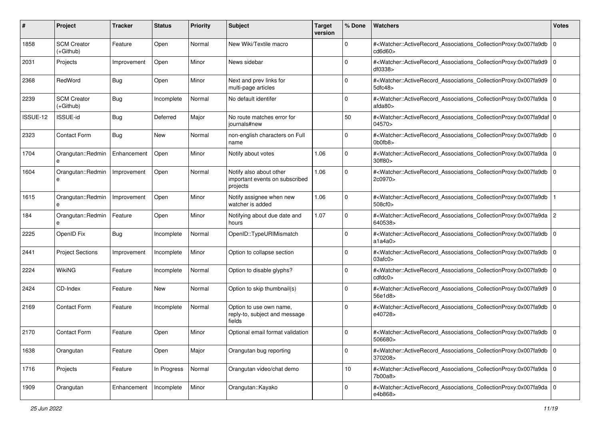| #        | Project                         | <b>Tracker</b> | <b>Status</b> | <b>Priority</b> | <b>Subject</b>                                                        | <b>Target</b><br>version | % Done      | Watchers                                                                                                                                                                    | <b>Votes</b> |
|----------|---------------------------------|----------------|---------------|-----------------|-----------------------------------------------------------------------|--------------------------|-------------|-----------------------------------------------------------------------------------------------------------------------------------------------------------------------------|--------------|
| 1858     | <b>SCM Creator</b><br>(+Github) | Feature        | Open          | Normal          | New Wiki/Textile macro                                                |                          | 0           | # <watcher::activerecord_associations_collectionproxy:0x007fa9db<br>cd6d60</watcher::activerecord_associations_collectionproxy:0x007fa9db<br>                               | $\mathbf 0$  |
| 2031     | Projects                        | Improvement    | Open          | Minor           | News sidebar                                                          |                          | 0           | # <watcher::activerecord_associations_collectionproxy:0x007fa9d9 0<br=""  ="">df0338&gt;</watcher::activerecord_associations_collectionproxy:0x007fa9d9>                    |              |
| 2368     | RedWord                         | Bug            | Open          | Minor           | Next and prev links for<br>multi-page articles                        |                          | 0           | # <watcher::activerecord_associations_collectionproxy:0x007fa9d9 0<br=""  ="">5dfc48</watcher::activerecord_associations_collectionproxy:0x007fa9d9>                        |              |
| 2239     | <b>SCM Creator</b><br>(+Github) | Bug            | Incomplete    | Normal          | No default identifer                                                  |                          | 0           | # <watcher::activerecord_associations_collectionproxy:0x007fa9da<br>afda80&gt;</watcher::activerecord_associations_collectionproxy:0x007fa9da<br>                           | l O          |
| ISSUE-12 | <b>ISSUE-id</b>                 | Bug            | Deferred      | Major           | No route matches error for<br>iournals#new                            |                          | 50          | # <watcher::activerecord_associations_collectionproxy:0x007fa9daf 0<br=""  ="">04570&gt;</watcher::activerecord_associations_collectionproxy:0x007fa9daf>                   |              |
| 2323     | <b>Contact Form</b>             | Bug            | New           | Normal          | non-english characters on Full<br>name                                |                          | $\Omega$    | # <watcher::activerecord_associations_collectionproxy:0x007fa9db<br><math>0</math>b0fb8<math>&gt;</math></watcher::activerecord_associations_collectionproxy:0x007fa9db<br> | $\mathbf 0$  |
| 1704     | Orangutan::Redmin               | Enhancement    | Open          | Minor           | Notify about votes                                                    | 1.06                     | $\mathbf 0$ | # <watcher::activerecord_associations_collectionproxy:0x007fa9da 0<br="">30ff80&gt;</watcher::activerecord_associations_collectionproxy:0x007fa9da>                         |              |
| 1604     | Orangutan::Redmin<br>e          | Improvement    | Open          | Normal          | Notify also about other<br>important events on subscribed<br>projects | 1.06                     | $\mathbf 0$ | # <watcher::activerecord_associations_collectionproxy:0x007fa9db<br>2c0970&gt;</watcher::activerecord_associations_collectionproxy:0x007fa9db<br>                           | $\Omega$     |
| 1615     | Orangutan::Redmin<br>e          | Improvement    | Open          | Minor           | Notify assignee when new<br>watcher is added                          | 1.06                     | 0           | # <watcher::activerecord_associations_collectionproxy:0x007fa9db<br>508cf0</watcher::activerecord_associations_collectionproxy:0x007fa9db<br>                               |              |
| 184      | Orangutan::Redmin<br>e          | Feature        | Open          | Minor           | Notifying about due date and<br>hours                                 | 1.07                     | $\Omega$    | # <watcher::activerecord_associations_collectionproxy:0x007fa9da 2<br=""  ="">640538&gt;</watcher::activerecord_associations_collectionproxy:0x007fa9da>                    |              |
| 2225     | OpenID Fix                      | Bug            | Incomplete    | Normal          | OpenID::TypeURIMismatch                                               |                          | $\Omega$    | # <watcher::activerecord_associations_collectionproxy:0x007fa9db<br>a1a4a0&gt;</watcher::activerecord_associations_collectionproxy:0x007fa9db<br>                           | $\mathbf 0$  |
| 2441     | <b>Project Sections</b>         | Improvement    | Incomplete    | Minor           | Option to collapse section                                            |                          | $\Omega$    | # <watcher::activerecord_associations_collectionproxy:0x007fa9db<br>03afc0&gt;</watcher::activerecord_associations_collectionproxy:0x007fa9db<br>                           | l O          |
| 2224     | <b>WikiNG</b>                   | Feature        | Incomplete    | Normal          | Option to disable glyphs?                                             |                          | 0           | # <watcher::activerecord_associations_collectionproxy:0x007fa9db 0<br=""  ="">cdtdc0<sub>&gt;</sub></watcher::activerecord_associations_collectionproxy:0x007fa9db>         |              |
| 2424     | CD-Index                        | Feature        | New           | Normal          | Option to skip thumbnail(s)                                           |                          | $\Omega$    | # <watcher::activerecord_associations_collectionproxy:0x007fa9d9 0<br=""  ="">56e1d8&gt;</watcher::activerecord_associations_collectionproxy:0x007fa9d9>                    |              |
| 2169     | <b>Contact Form</b>             | Feature        | Incomplete    | Normal          | Option to use own name,<br>reply-to, subject and message<br>fields    |                          | 0           | # <watcher::activerecord_associations_collectionproxy:0x007fa9db  <br="">e40728&gt;</watcher::activerecord_associations_collectionproxy:0x007fa9db>                         | l O          |
| 2170     | <b>Contact Form</b>             | Feature        | Open          | Minor           | Optional email format validation                                      |                          | 0           | # <watcher::activerecord_associations_collectionproxy:0x007fa9db 0<br=""  ="">506680&gt;</watcher::activerecord_associations_collectionproxy:0x007fa9db>                    |              |
| 1638     | Orangutan                       | Feature        | Open          | Major           | Orangutan bug reporting                                               |                          | 0           | # <watcher::activerecord 0<br="" associations="" collectionproxy:0x007fa9db="">370208&gt;</watcher::activerecord>                                                           |              |
| 1716     | Projects                        | Feature        | In Progress   | Normal          | Orangutan video/chat demo                                             |                          | 10          | # <watcher::activerecord_associations_collectionproxy:0x007fa9da 0<br="">7b00a8&gt;</watcher::activerecord_associations_collectionproxy:0x007fa9da>                         |              |
| 1909     | Orangutan                       | Enhancement    | Incomplete    | Minor           | Orangutan::Kayako                                                     |                          | 0           | # <watcher::activerecord_associations_collectionproxy:0x007fa9da 0<br=""  ="">e4b868&gt;</watcher::activerecord_associations_collectionproxy:0x007fa9da>                    |              |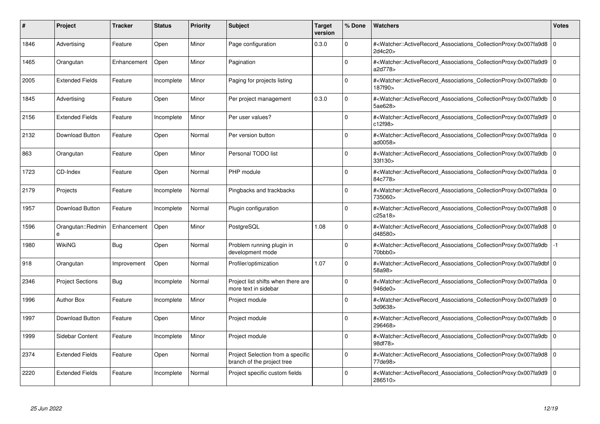| #    | Project                 | <b>Tracker</b> | <b>Status</b> | <b>Priority</b> | <b>Subject</b>                                                  | <b>Target</b><br>version | % Done      | <b>Watchers</b>                                                                                                                                          | <b>Votes</b> |
|------|-------------------------|----------------|---------------|-----------------|-----------------------------------------------------------------|--------------------------|-------------|----------------------------------------------------------------------------------------------------------------------------------------------------------|--------------|
| 1846 | Advertising             | Feature        | Open          | Minor           | Page configuration                                              | 0.3.0                    | $\Omega$    | # <watcher::activerecord associations="" collectionproxy:0x007fa9d8<br="">2d4c20&gt;</watcher::activerecord>                                             | $\mathbf 0$  |
| 1465 | Orangutan               | Enhancement    | Open          | Minor           | Pagination                                                      |                          | $\Omega$    | # <watcher::activerecord associations="" collectionproxy:0x007fa9d9=""  <br="">a2d778&gt;</watcher::activerecord>                                        | $\mathbf 0$  |
| 2005 | <b>Extended Fields</b>  | Feature        | Incomplete    | Minor           | Paging for projects listing                                     |                          | $\Omega$    | # <watcher::activerecord_associations_collectionproxy:0x007fa9db<br>187f90&gt;</watcher::activerecord_associations_collectionproxy:0x007fa9db<br>        | $\Omega$     |
| 1845 | Advertising             | Feature        | Open          | Minor           | Per project management                                          | 0.3.0                    | $\Omega$    | # <watcher::activerecord_associations_collectionproxy:0x007fa9db 0<br="">5ae628&gt;</watcher::activerecord_associations_collectionproxy:0x007fa9db>      |              |
| 2156 | <b>Extended Fields</b>  | Feature        | Incomplete    | Minor           | Per user values?                                                |                          | $\Omega$    | # <watcher::activerecord_associations_collectionproxy:0x007fa9d9<br>c12f98</watcher::activerecord_associations_collectionproxy:0x007fa9d9<br>            | $\mathbf 0$  |
| 2132 | Download Button         | Feature        | Open          | Normal          | Per version button                                              |                          | $\Omega$    | # <watcher::activerecord_associations_collectionproxy:0x007fa9da 0<br=""  ="">ad0058&gt;</watcher::activerecord_associations_collectionproxy:0x007fa9da> |              |
| 863  | Orangutan               | Feature        | Open          | Minor           | Personal TODO list                                              |                          | $\Omega$    | # <watcher::activerecord associations="" collectionproxy:0x007fa9db<br="">33f130</watcher::activerecord>                                                 | $\mathbf 0$  |
| 1723 | CD-Index                | Feature        | Open          | Normal          | PHP module                                                      |                          | $\Omega$    | # <watcher::activerecord_associations_collectionproxy:0x007fa9da 0<br=""  ="">84c778&gt;</watcher::activerecord_associations_collectionproxy:0x007fa9da> |              |
| 2179 | Projects                | Feature        | Incomplete    | Normal          | Pingbacks and trackbacks                                        |                          | $\Omega$    | # <watcher::activerecord associations="" collectionproxy:0x007fa9da=""  <br="">735060&gt;</watcher::activerecord>                                        | $\mathbf 0$  |
| 1957 | <b>Download Button</b>  | Feature        | Incomplete    | Normal          | Plugin configuration                                            |                          | $\Omega$    | # <watcher::activerecord associations="" collectionproxy:0x007fa9d8=""  <br="">c25a18&gt;</watcher::activerecord>                                        | $\mathbf 0$  |
| 1596 | Orangutan::Redmin<br>e  | Enhancement    | Open          | Minor           | PostgreSQL                                                      | 1.08                     | $\Omega$    | # <watcher::activerecord_associations_collectionproxy:0x007fa9d8 0<br=""  ="">d48580&gt;</watcher::activerecord_associations_collectionproxy:0x007fa9d8> |              |
| 1980 | <b>WikiNG</b>           | <b>Bug</b>     | Open          | Normal          | Problem running plugin in<br>development mode                   |                          | $\Omega$    | # <watcher::activerecord associations="" collectionproxy:0x007fa9db<br="">70bbb0&gt;</watcher::activerecord>                                             | $-1$         |
| 918  | Orangutan               | Improvement    | Open          | Normal          | Profiler/optimization                                           | 1.07                     | $\Omega$    | # <watcher::activerecord 0<br="" associations="" collectionproxy:0x007fa9dbf=""  ="">58a98&gt;</watcher::activerecord>                                   |              |
| 2346 | <b>Project Sections</b> | <b>Bug</b>     | Incomplete    | Normal          | Project list shifts when there are<br>more text in sidebar      |                          | $\Omega$    | # <watcher::activerecord_associations_collectionproxy:0x007fa9da 0<br=""  ="">946de0&gt;</watcher::activerecord_associations_collectionproxy:0x007fa9da> |              |
| 1996 | <b>Author Box</b>       | Feature        | Incomplete    | Minor           | Project module                                                  |                          | $\Omega$    | # <watcher::activerecord 0<br="" associations="" collectionproxy:0x007fa9d9=""  ="">3d9638&gt;</watcher::activerecord>                                   |              |
| 1997 | Download Button         | Feature        | Open          | Minor           | Project module                                                  |                          | $\Omega$    | # <watcher::activerecord_associations_collectionproxy:0x007fa9db  <br="">296468&gt;</watcher::activerecord_associations_collectionproxy:0x007fa9db>      | $\mathbf 0$  |
| 1999 | Sidebar Content         | Feature        | Incomplete    | Minor           | Project module                                                  |                          | $\Omega$    | # <watcher::activerecord_associations_collectionproxy:0x007fa9db  <br="">98df78&gt;</watcher::activerecord_associations_collectionproxy:0x007fa9db>      | $\mathbf 0$  |
| 2374 | <b>Extended Fields</b>  | Feature        | Open          | Normal          | Project Selection from a specific<br>branch of the project tree |                          | $\mathbf 0$ | # <watcher::activerecord 0<br="" associations="" collectionproxy:0x007fa9d8=""  ="">77de98&gt;</watcher::activerecord>                                   |              |
| 2220 | <b>Extended Fields</b>  | Feature        | Incomplete    | Normal          | Project specific custom fields                                  |                          | $\Omega$    | # <watcher::activerecord_associations_collectionproxy:0x007fa9d9 0<br=""  ="">286510&gt;</watcher::activerecord_associations_collectionproxy:0x007fa9d9> |              |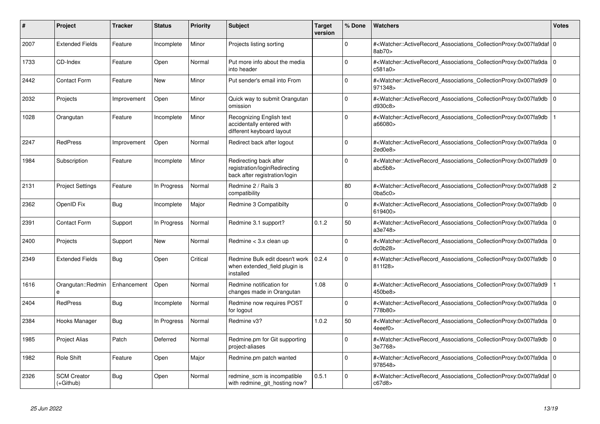| #    | Project                         | <b>Tracker</b> | <b>Status</b> | <b>Priority</b> | <b>Subject</b>                                                                           | <b>Target</b><br>version | % Done      | <b>Watchers</b>                                                                                                                                           | <b>Votes</b>   |
|------|---------------------------------|----------------|---------------|-----------------|------------------------------------------------------------------------------------------|--------------------------|-------------|-----------------------------------------------------------------------------------------------------------------------------------------------------------|----------------|
| 2007 | <b>Extended Fields</b>          | Feature        | Incomplete    | Minor           | Projects listing sorting                                                                 |                          | $\Omega$    | # <watcher::activerecord 0<br="" associations="" collectionproxy:0x007fa9daf=""  ="">8ab70&gt;</watcher::activerecord>                                    |                |
| 1733 | CD-Index                        | Feature        | Open          | Normal          | Put more info about the media<br>into header                                             |                          | $\Omega$    | # <watcher::activerecord_associations_collectionproxy:0x007fa9da<br>c581a0&gt;</watcher::activerecord_associations_collectionproxy:0x007fa9da<br>         | $\overline{0}$ |
| 2442 | <b>Contact Form</b>             | Feature        | <b>New</b>    | Minor           | Put sender's email into From                                                             |                          | $\Omega$    | # <watcher::activerecord_associations_collectionproxy:0x007fa9d9<br>971348&gt;</watcher::activerecord_associations_collectionproxy:0x007fa9d9<br>         | l o            |
| 2032 | Projects                        | Improvement    | Open          | Minor           | Quick way to submit Orangutan<br>omission                                                |                          | $\Omega$    | # <watcher::activerecord_associations_collectionproxy:0x007fa9db<br>d930c8&gt;</watcher::activerecord_associations_collectionproxy:0x007fa9db<br>         | $\overline{0}$ |
| 1028 | Orangutan                       | Feature        | Incomplete    | Minor           | Recognizing English text<br>accidentally entered with<br>different keyboard layout       |                          | $\Omega$    | # <watcher::activerecord associations="" collectionproxy:0x007fa9db<br="">a66080&gt;</watcher::activerecord>                                              |                |
| 2247 | <b>RedPress</b>                 | Improvement    | Open          | Normal          | Redirect back after logout                                                               |                          | $\Omega$    | # <watcher::activerecord_associations_collectionproxy:0x007fa9da<br>2ed0e8&gt;</watcher::activerecord_associations_collectionproxy:0x007fa9da<br>         | $\overline{0}$ |
| 1984 | Subscription                    | Feature        | Incomplete    | Minor           | Redirecting back after<br>registration/loginRedirecting<br>back after registration/login |                          | $\Omega$    | # <watcher::activerecord associations="" collectionproxy:0x007fa9d9<br="">abc5b8&gt;</watcher::activerecord>                                              | l O            |
| 2131 | <b>Project Settings</b>         | Feature        | In Progress   | Normal          | Redmine 2 / Rails 3<br>compatibility                                                     |                          | 80          | # <watcher::activerecord associations="" collectionproxy:0x007fa9d8<br=""><math>0</math>ba5c<math>0</math></watcher::activerecord>                        | 2              |
| 2362 | OpenID Fix                      | <b>Bug</b>     | Incomplete    | Major           | Redmine 3 Compatibilty                                                                   |                          | 0           | # <watcher::activerecord_associations_collectionproxy:0x007fa9db<br>619400&gt;</watcher::activerecord_associations_collectionproxy:0x007fa9db<br>         | 0 I            |
| 2391 | <b>Contact Form</b>             | Support        | In Progress   | Normal          | Redmine 3.1 support?                                                                     | 0.1.2                    | 50          | # <watcher::activerecord_associations_collectionproxy:0x007fa9da<br>a3e748&gt;</watcher::activerecord_associations_collectionproxy:0x007fa9da<br>         | l 0            |
| 2400 | Projects                        | Support        | New           | Normal          | Redmine < 3.x clean up                                                                   |                          | $\Omega$    | # <watcher::activerecord_associations_collectionproxy:0x007fa9da<br>dc0b28</watcher::activerecord_associations_collectionproxy:0x007fa9da<br>             | l 0            |
| 2349 | <b>Extended Fields</b>          | Bug            | Open          | Critical        | Redmine Bulk edit doesn't work<br>when extended_field plugin is<br>installed             | 0.2.4                    | $\Omega$    | # <watcher::activerecord_associations_collectionproxy:0x007fa9db<br>811f28&gt;</watcher::activerecord_associations_collectionproxy:0x007fa9db<br>         | l o            |
| 1616 | Orangutan::Redmin<br>e          | Enhancement    | Open          | Normal          | Redmine notification for<br>changes made in Orangutan                                    | 1.08                     | $\Omega$    | # <watcher::activerecord_associations_collectionproxy:0x007fa9d9<br>450be8&gt;</watcher::activerecord_associations_collectionproxy:0x007fa9d9<br>         |                |
| 2404 | RedPress                        | Bug            | Incomplete    | Normal          | Redmine now requires POST<br>for logout                                                  |                          | $\mathbf 0$ | # <watcher::activerecord_associations_collectionproxy:0x007fa9da<br>778b80&gt;</watcher::activerecord_associations_collectionproxy:0x007fa9da<br>         | l O            |
| 2384 | Hooks Manager                   | Bug            | In Progress   | Normal          | Redmine v3?                                                                              | 1.0.2                    | 50          | # <watcher::activerecord_associations_collectionproxy:0x007fa9da 0<br=""  ="">4eeef0</watcher::activerecord_associations_collectionproxy:0x007fa9da>      |                |
| 1985 | <b>Project Alias</b>            | Patch          | Deferred      | Normal          | Redmine.pm for Git supporting<br>project-aliases                                         |                          | $\Omega$    | # <watcher::activerecord associations="" collectionproxy:0x007fa9db<br="">3e7768&gt;</watcher::activerecord>                                              | 0              |
| 1982 | <b>Role Shift</b>               | Feature        | Open          | Major           | Redmine.pm patch wanted                                                                  |                          | $\Omega$    | # <watcher::activerecord 0<br="" associations="" collectionproxy:0x007fa9da=""  ="">978548&gt;</watcher::activerecord>                                    |                |
| 2326 | <b>SCM Creator</b><br>(+Github) | <b>Bug</b>     | Open          | Normal          | redmine scm is incompatible<br>with redmine git hosting now?                             | 0.5.1                    | $\Omega$    | # <watcher::activerecord_associations_collectionproxy:0x007fa9daf 0<br=""  ="">c67d8&gt;</watcher::activerecord_associations_collectionproxy:0x007fa9daf> |                |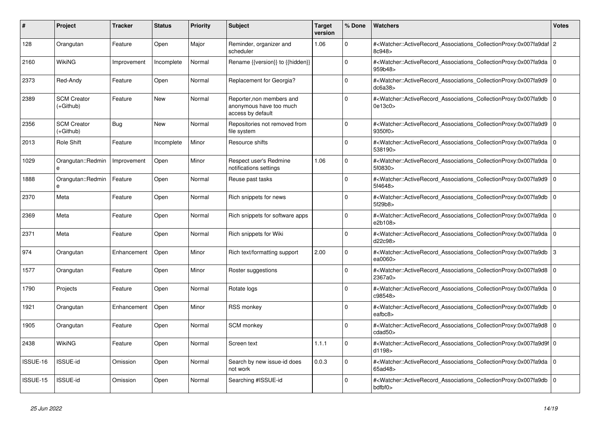| #        | <b>Project</b>                  | <b>Tracker</b> | <b>Status</b> | <b>Priority</b> | <b>Subject</b>                                                            | <b>Target</b><br>version | % Done      | <b>Watchers</b>                                                                                                                                      | Votes          |
|----------|---------------------------------|----------------|---------------|-----------------|---------------------------------------------------------------------------|--------------------------|-------------|------------------------------------------------------------------------------------------------------------------------------------------------------|----------------|
| 128      | Orangutan                       | Feature        | Open          | Major           | Reminder, organizer and<br>scheduler                                      | 1.06                     | $\Omega$    | # <watcher::activerecord_associations_collectionproxy:0x007fa9daf 2<br="">8c948&gt;</watcher::activerecord_associations_collectionproxy:0x007fa9daf> |                |
| 2160     | WikiNG                          | Improvement    | Incomplete    | Normal          | Rename {{version}} to {{hidden}}                                          |                          | $\Omega$    | # <watcher::activerecord_associations_collectionproxy:0x007fa9da<br>959b48&gt;</watcher::activerecord_associations_collectionproxy:0x007fa9da<br>    | l O            |
| 2373     | Red-Andy                        | Feature        | Open          | Normal          | Replacement for Georgia?                                                  |                          | $\Omega$    | # <watcher::activerecord associations="" collectionproxy:0x007fa9d9<br="">dc6a38<sub>&gt;</sub></watcher::activerecord>                              | l O            |
| 2389     | <b>SCM Creator</b><br>(+Github) | Feature        | <b>New</b>    | Normal          | Reporter, non members and<br>anonymous have too much<br>access by default |                          | $\Omega$    | # <watcher::activerecord_associations_collectionproxy:0x007fa9db<br>0e13c0&gt;</watcher::activerecord_associations_collectionproxy:0x007fa9db<br>    | l 0            |
| 2356     | <b>SCM Creator</b><br>(+Github) | Bug            | <b>New</b>    | Normal          | Repositories not removed from<br>file system                              |                          | $\Omega$    | # <watcher::activerecord associations="" collectionproxy:0x007fa9d9<br="">9350f0&gt;</watcher::activerecord>                                         | l O            |
| 2013     | Role Shift                      | Feature        | Incomplete    | Minor           | Resource shifts                                                           |                          | $\Omega$    | # <watcher::activerecord_associations_collectionproxy:0x007fa9da<br>538190&gt;</watcher::activerecord_associations_collectionproxy:0x007fa9da<br>    | l O            |
| 1029     | Orangutan::Redmin<br>e          | Improvement    | Open          | Minor           | Respect user's Redmine<br>notifications settings                          | 1.06                     | $\Omega$    | # <watcher::activerecord_associations_collectionproxy:0x007fa9da<br>5f0830&gt;</watcher::activerecord_associations_collectionproxy:0x007fa9da<br>    | $\overline{0}$ |
| 1888     | Orangutan::Redmin<br>e          | Feature        | Open          | Normal          | Reuse past tasks                                                          |                          | $\Omega$    | # <watcher::activerecord_associations_collectionproxy:0x007fa9d9<br>5f4648&gt;</watcher::activerecord_associations_collectionproxy:0x007fa9d9<br>    | 0              |
| 2370     | Meta                            | Feature        | Open          | Normal          | Rich snippets for news                                                    |                          | $\Omega$    | # <watcher::activerecord associations="" collectionproxy:0x007fa9db<br="">5f29b8&gt;</watcher::activerecord>                                         | 0              |
| 2369     | Meta                            | Feature        | Open          | Normal          | Rich snippets for software apps                                           |                          | $\Omega$    | # <watcher::activerecord_associations_collectionproxy:0x007fa9da<br>e2b108&gt;</watcher::activerecord_associations_collectionproxy:0x007fa9da<br>    | $\overline{0}$ |
| 2371     | Meta                            | Feature        | Open          | Normal          | Rich snippets for Wiki                                                    |                          | $\Omega$    | # <watcher::activerecord associations="" collectionproxy:0x007fa9da<br="">d22c98&gt;</watcher::activerecord>                                         | $\overline{0}$ |
| 974      | Orangutan                       | Enhancement    | Open          | Minor           | Rich text/formatting support                                              | 2.00                     | $\mathbf 0$ | # <watcher::activerecord associations="" collectionproxy:0x007fa9db<br="">ea0060&gt;</watcher::activerecord>                                         | 3              |
| 1577     | Orangutan                       | Feature        | Open          | Minor           | Roster suggestions                                                        |                          | $\Omega$    | # <watcher::activerecord_associations_collectionproxy:0x007fa9d8<br>2367a0&gt;</watcher::activerecord_associations_collectionproxy:0x007fa9d8<br>    | $\overline{0}$ |
| 1790     | Projects                        | Feature        | Open          | Normal          | Rotate logs                                                               |                          | $\Omega$    | # <watcher::activerecord 0<br="" associations="" collectionproxy:0x007fa9da=""  ="">c98548&gt;</watcher::activerecord>                               |                |
| 1921     | Orangutan                       | Enhancement    | Open          | Minor           | <b>RSS monkey</b>                                                         |                          | $\mathbf 0$ | # <watcher::activerecord associations="" collectionproxy:0x007fa9db<br="">eafbc8&gt;</watcher::activerecord>                                         | 0              |
| 1905     | Orangutan                       | Feature        | Open          | Normal          | SCM monkey                                                                |                          | $\Omega$    | # <watcher::activerecord_associations_collectionproxy:0x007fa9d8<br>cdad50&gt;</watcher::activerecord_associations_collectionproxy:0x007fa9d8<br>    | ۱o             |
| 2438     | <b>WikiNG</b>                   | Feature        | Open          | Normal          | Screen text                                                               | 1.1.1                    | $\Omega$    | # <watcher::activerecord 0<br="" associations="" collectionproxy:0x007fa9d9f=""  ="">d1198&gt;</watcher::activerecord>                               |                |
| ISSUE-16 | ISSUE-id                        | Omission       | Open          | Normal          | Search by new issue-id does<br>not work                                   | 0.0.3                    | $\mathbf 0$ | # <watcher::activerecord_associations_collectionproxy:0x007fa9da<br>65ad48&gt;</watcher::activerecord_associations_collectionproxy:0x007fa9da<br>    | 0              |
| ISSUE-15 | <b>ISSUE-id</b>                 | Omission       | Open          | Normal          | Searching #ISSUE-id                                                       |                          | $\Omega$    | # <watcher::activerecord_associations_collectionproxy:0x007fa9db<br>bdfbf0&gt;</watcher::activerecord_associations_collectionproxy:0x007fa9db<br>    | 0 I            |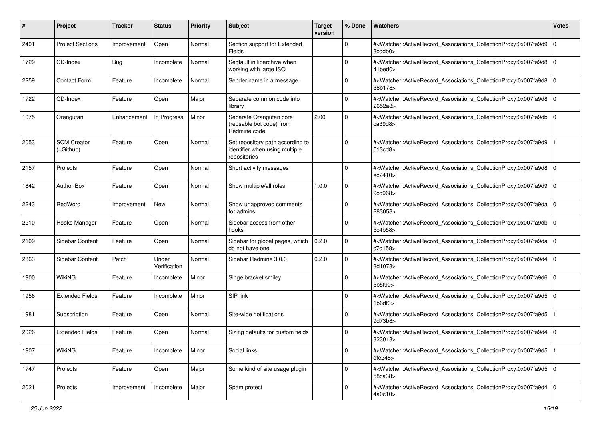| #    | Project                         | <b>Tracker</b> | <b>Status</b>         | <b>Priority</b> | <b>Subject</b>                                                                     | <b>Target</b><br>version | % Done       | Watchers                                                                                                                                                                           | <b>Votes</b> |
|------|---------------------------------|----------------|-----------------------|-----------------|------------------------------------------------------------------------------------|--------------------------|--------------|------------------------------------------------------------------------------------------------------------------------------------------------------------------------------------|--------------|
| 2401 | <b>Project Sections</b>         | Improvement    | Open                  | Normal          | Section support for Extended<br><b>Fields</b>                                      |                          | 0            | # <watcher::activerecord_associations_collectionproxy:0x007fa9d9 0<br=""  ="">3cddb0</watcher::activerecord_associations_collectionproxy:0x007fa9d9>                               |              |
| 1729 | CD-Index                        | Bug            | Incomplete            | Normal          | Segfault in libarchive when<br>working with large ISO                              |                          | $\Omega$     | # <watcher::activerecord_associations_collectionproxy:0x007fa9d8 0<br="">41bed0&gt;</watcher::activerecord_associations_collectionproxy:0x007fa9d8>                                |              |
| 2259 | <b>Contact Form</b>             | Feature        | Incomplete            | Normal          | Sender name in a message                                                           |                          | 0            | # <watcher::activerecord_associations_collectionproxy:0x007fa9d8 0<br=""  ="">38b178&gt;</watcher::activerecord_associations_collectionproxy:0x007fa9d8>                           |              |
| 1722 | CD-Index                        | Feature        | Open                  | Major           | Separate common code into<br>library                                               |                          | $\mathbf 0$  | # <watcher::activerecord_associations_collectionproxy:0x007fa9d8<br>2652a8&gt;</watcher::activerecord_associations_collectionproxy:0x007fa9d8<br>                                  | l O          |
| 1075 | Orangutan                       | Enhancement    | In Progress           | Minor           | Separate Orangutan core<br>(reusable bot code) from<br>Redmine code                | 2.00                     | $\Omega$     | # <watcher::activerecord_associations_collectionproxy:0x007fa9db 0<br=""  ="">ca39d8&gt;</watcher::activerecord_associations_collectionproxy:0x007fa9db>                           |              |
| 2053 | <b>SCM Creator</b><br>(+Github) | Feature        | Open                  | Normal          | Set repository path according to<br>identifier when using multiple<br>repositories |                          | $\Omega$     | # <watcher::activerecord_associations_collectionproxy:0x007fa9d9<br>513cd8&gt;</watcher::activerecord_associations_collectionproxy:0x007fa9d9<br>                                  |              |
| 2157 | Projects                        | Feature        | Open                  | Normal          | Short activity messages                                                            |                          | $\Omega$     | # <watcher::activerecord_associations_collectionproxy:0x007fa9d8 0<br=""  ="">ec2410&gt;</watcher::activerecord_associations_collectionproxy:0x007fa9d8>                           |              |
| 1842 | <b>Author Box</b>               | Feature        | Open                  | Normal          | Show multiple/all roles                                                            | 1.0.0                    | $\Omega$     | # <watcher::activerecord_associations_collectionproxy:0x007fa9d9 0<br=""  ="">9cd968&gt;</watcher::activerecord_associations_collectionproxy:0x007fa9d9>                           |              |
| 2243 | RedWord                         | Improvement    | New                   | Normal          | Show unapproved comments<br>for admins                                             |                          | $\Omega$     | # <watcher::activerecord_associations_collectionproxy:0x007fa9da<br>283058&gt;</watcher::activerecord_associations_collectionproxy:0x007fa9da<br>                                  | l o          |
| 2210 | Hooks Manager                   | Feature        | Open                  | Normal          | Sidebar access from other<br>hooks                                                 |                          | $\mathbf 0$  | # <watcher::activerecord_associations_collectionproxy:0x007fa9db<br>5c4b58&gt;</watcher::activerecord_associations_collectionproxy:0x007fa9db<br>                                  | $\Omega$     |
| 2109 | Sidebar Content                 | Feature        | Open                  | Normal          | Sidebar for global pages, which<br>do not have one                                 | 0.2.0                    | $\mathbf 0$  | # <watcher::activerecord_associations_collectionproxy:0x007fa9da  <br="">c7d158&gt;</watcher::activerecord_associations_collectionproxy:0x007fa9da>                                | l O          |
| 2363 | Sidebar Content                 | Patch          | Under<br>Verification | Normal          | Sidebar Redmine 3.0.0                                                              | 0.2.0                    | $\Omega$     | # <watcher::activerecord_associations_collectionproxy:0x007fa9d4 0<br=""  ="">3d1078&gt;</watcher::activerecord_associations_collectionproxy:0x007fa9d4>                           |              |
| 1900 | <b>WikiNG</b>                   | Feature        | Incomplete            | Minor           | Singe bracket smiley                                                               |                          | $\Omega$     | # <watcher::activerecord_associations_collectionproxy:0x007fa9d6 0<br="">5b5f90&gt;</watcher::activerecord_associations_collectionproxy:0x007fa9d6>                                |              |
| 1956 | <b>Extended Fields</b>          | Feature        | Incomplete            | Minor           | SIP link                                                                           |                          | $\mathbf 0$  | # <watcher::activerecord_associations_collectionproxy:0x007fa9d5 0<br=""  =""><math>1b6</math>df0<math>&gt;</math></watcher::activerecord_associations_collectionproxy:0x007fa9d5> |              |
| 1981 | Subscription                    | Feature        | Open                  | Normal          | Site-wide notifications                                                            |                          | $\Omega$     | # <watcher::activerecord_associations_collectionproxy:0x007fa9d5<br>9d73b8&gt;</watcher::activerecord_associations_collectionproxy:0x007fa9d5<br>                                  |              |
| 2026 | <b>Extended Fields</b>          | Feature        | Open                  | Normal          | Sizing defaults for custom fields                                                  |                          | $\Omega$     | # <watcher::activerecord_associations_collectionproxy:0x007fa9d4<br>323018&gt;</watcher::activerecord_associations_collectionproxy:0x007fa9d4<br>                                  | l O          |
| 1907 | <b>WikiNG</b>                   | Feature        | Incomplete            | Minor           | Social links                                                                       |                          | 0            | # <watcher::activerecord_associations_collectionproxy:0x007fa9d5<br>dfe248</watcher::activerecord_associations_collectionproxy:0x007fa9d5<br>                                      |              |
| 1747 | Projects                        | Feature        | Open                  | Major           | Some kind of site usage plugin                                                     |                          | $\mathbf{0}$ | # <watcher::activerecord_associations_collectionproxy:0x007fa9d5 0<br="">58ca38&gt;</watcher::activerecord_associations_collectionproxy:0x007fa9d5>                                |              |
| 2021 | Projects                        | Improvement    | Incomplete            | Major           | Spam protect                                                                       |                          | $\mathbf 0$  | # <watcher::activerecord_associations_collectionproxy:0x007fa9d4 0<br=""  ="">4a0c10&gt;</watcher::activerecord_associations_collectionproxy:0x007fa9d4>                           |              |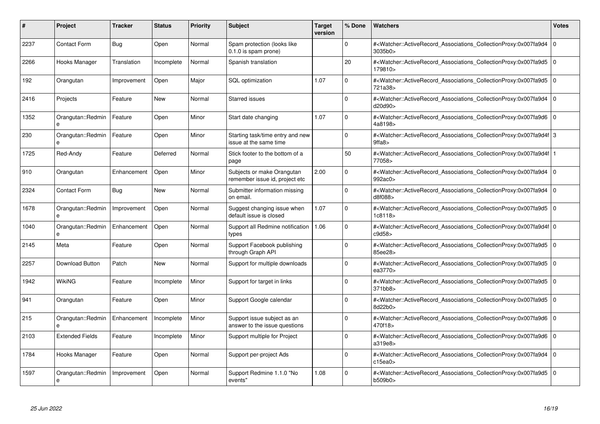| #    | Project                | <b>Tracker</b> | <b>Status</b> | <b>Priority</b> | <b>Subject</b>                                               | <b>Target</b><br>version | % Done      | <b>Watchers</b>                                                                                                                                           | <b>Votes</b>   |
|------|------------------------|----------------|---------------|-----------------|--------------------------------------------------------------|--------------------------|-------------|-----------------------------------------------------------------------------------------------------------------------------------------------------------|----------------|
| 2237 | <b>Contact Form</b>    | <b>Bug</b>     | Open          | Normal          | Spam protection (looks like<br>$0.1.0$ is spam prone)        |                          | $\Omega$    | # <watcher::activerecord associations="" collectionproxy:0x007fa9d4<br="">3035b0&gt;</watcher::activerecord>                                              | $\Omega$       |
| 2266 | Hooks Manager          | Translation    | Incomplete    | Normal          | Spanish translation                                          |                          | 20          | # <watcher::activerecord_associations_collectionproxy:0x007fa9d5 0<br="">179810&gt;</watcher::activerecord_associations_collectionproxy:0x007fa9d5>       |                |
| 192  | Orangutan              | Improvement    | Open          | Major           | <b>SQL</b> optimization                                      | 1.07                     | $\mathbf 0$ | # <watcher::activerecord_associations_collectionproxy:0x007fa9d5<br>721a38&gt;</watcher::activerecord_associations_collectionproxy:0x007fa9d5<br>         | l 0            |
| 2416 | Projects               | Feature        | <b>New</b>    | Normal          | Starred issues                                               |                          | $\Omega$    | # <watcher::activerecord_associations_collectionproxy:0x007fa9d4 0<br=""  ="">d20d90&gt;</watcher::activerecord_associations_collectionproxy:0x007fa9d4>  |                |
| 1352 | Orangutan::Redmin      | Feature        | Open          | Minor           | Start date changing                                          | 1.07                     | $\Omega$    | # <watcher::activerecord associations="" collectionproxy:0x007fa9d6<br="">4a8198&gt;</watcher::activerecord>                                              | l o            |
| 230  | Orangutan::Redmin<br>e | Feature        | Open          | Minor           | Starting task/time entry and new<br>issue at the same time   |                          | $\Omega$    | # <watcher::activerecord_associations_collectionproxy:0x007fa9d4f 3<br="">9ffa8&gt;</watcher::activerecord_associations_collectionproxy:0x007fa9d4f>      |                |
| 1725 | Red-Andy               | Feature        | Deferred      | Normal          | Stick footer to the bottom of a<br>page                      |                          | 50          | # <watcher::activerecord_associations_collectionproxy:0x007fa9d4f 1<br=""  ="">77058&gt;</watcher::activerecord_associations_collectionproxy:0x007fa9d4f> |                |
| 910  | Orangutan              | Enhancement    | Open          | Minor           | Subjects or make Orangutan<br>remember issue id, project etc | 2.00                     | $\Omega$    | # <watcher::activerecord_associations_collectionproxy:0x007fa9d4 0<br=""  ="">992ac0&gt;</watcher::activerecord_associations_collectionproxy:0x007fa9d4>  |                |
| 2324 | <b>Contact Form</b>    | Bug            | New           | Normal          | Submitter information missing<br>on email.                   |                          | $\Omega$    | # <watcher::activerecord associations="" collectionproxy:0x007fa9d4<br="">d8f088&gt;</watcher::activerecord>                                              | $\overline{0}$ |
| 1678 | Orangutan::Redmin<br>e | Improvement    | Open          | Normal          | Suggest changing issue when<br>default issue is closed       | 1.07                     | $\mathbf 0$ | # <watcher::activerecord 0<br="" associations="" collectionproxy:0x007fa9d5=""  ="">1c8118&gt;</watcher::activerecord>                                    |                |
| 1040 | Orangutan::Redmin<br>e | Enhancement    | Open          | Normal          | Support all Redmine notification<br>types                    | 1.06                     | $\Omega$    | # <watcher::activerecord_associations_collectionproxy:0x007fa9d4f 0<br=""  ="">c9d58&gt;</watcher::activerecord_associations_collectionproxy:0x007fa9d4f> |                |
| 2145 | Meta                   | Feature        | Open          | Normal          | Support Facebook publishing<br>through Graph API             |                          | $\Omega$    | # <watcher::activerecord_associations_collectionproxy:0x007fa9d5 0<br=""  ="">85ee28&gt;</watcher::activerecord_associations_collectionproxy:0x007fa9d5>  |                |
| 2257 | Download Button        | Patch          | New           | Normal          | Support for multiple downloads                               |                          | $\mathbf 0$ | # <watcher::activerecord 0<br="" associations="" collectionproxy:0x007fa9d5=""  ="">ea3770&gt;</watcher::activerecord>                                    |                |
| 1942 | <b>WikiNG</b>          | Feature        | Incomplete    | Minor           | Support for target in links                                  |                          | $\mathbf 0$ | # <watcher::activerecord_associations_collectionproxy:0x007fa9d5 0<br=""  ="">371bb8&gt;</watcher::activerecord_associations_collectionproxy:0x007fa9d5>  |                |
| 941  | Orangutan              | Feature        | Open          | Minor           | Support Google calendar                                      |                          | $\Omega$    | # <watcher::activerecord_associations_collectionproxy:0x007fa9d5 0<br=""  ="">8d22b0&gt;</watcher::activerecord_associations_collectionproxy:0x007fa9d5>  |                |
| 215  | Orangutan::Redmin      | Enhancement    | Incomplete    | Minor           | Support issue subject as an<br>answer to the issue questions |                          | $\Omega$    | # <watcher::activerecord associations="" collectionproxy:0x007fa9d6<br="">470f18&gt;</watcher::activerecord>                                              | l 0            |
| 2103 | <b>Extended Fields</b> | Feature        | Incomplete    | Minor           | Support multiple for Project                                 |                          | $\Omega$    | # <watcher::activerecord 0<br="" associations="" collectionproxy:0x007fa9d6=""  ="">a319e8&gt;</watcher::activerecord>                                    |                |
| 1784 | Hooks Manager          | Feature        | Open          | Normal          | Support per-project Ads                                      |                          | $\Omega$    | # <watcher::activerecord_associations_collectionproxy:0x007fa9d4<br>c15ea0</watcher::activerecord_associations_collectionproxy:0x007fa9d4<br>             | l 0            |
| 1597 | Orangutan::Redmin<br>e | Improvement    | Open          | Normal          | Support Redmine 1.1.0 "No<br>events"                         | 1.08                     | $\Omega$    | # <watcher::activerecord_associations_collectionproxy:0x007fa9d5 0<br=""  ="">b509b0&gt;</watcher::activerecord_associations_collectionproxy:0x007fa9d5>  |                |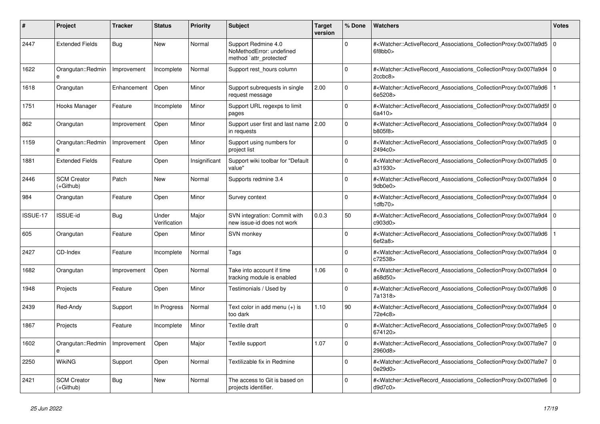| #        | <b>Project</b>                    | <b>Tracker</b> | <b>Status</b>         | <b>Priority</b> | <b>Subject</b>                                                             | <b>Target</b><br>version | % Done      | Watchers                                                                                                                                                  | Votes       |
|----------|-----------------------------------|----------------|-----------------------|-----------------|----------------------------------------------------------------------------|--------------------------|-------------|-----------------------------------------------------------------------------------------------------------------------------------------------------------|-------------|
| 2447     | <b>Extended Fields</b>            | Bug            | <b>New</b>            | Normal          | Support Redmine 4.0<br>NoMethodError: undefined<br>method `attr_protected' |                          | $\Omega$    | # <watcher::activerecord_associations_collectionproxy:0x007fa9d5<br>6f8bb0&gt;</watcher::activerecord_associations_collectionproxy:0x007fa9d5<br>         | l o         |
| 1622     | Orangutan::Redmin                 | Improvement    | Incomplete            | Normal          | Support rest_hours column                                                  |                          | O           | # <watcher::activerecord_associations_collectionproxy:0x007fa9d4<br>2ccbc8</watcher::activerecord_associations_collectionproxy:0x007fa9d4<br>             | $\Omega$    |
| 1618     | Orangutan                         | Enhancement    | Open                  | Minor           | Support subrequests in single<br>request message                           | 2.00                     | $\Omega$    | # <watcher::activerecord_associations_collectionproxy:0x007fa9d6<br>6e5208&gt;</watcher::activerecord_associations_collectionproxy:0x007fa9d6<br>         |             |
| 1751     | Hooks Manager                     | Feature        | Incomplete            | Minor           | Support URL regexps to limit<br>pages                                      |                          | $\Omega$    | # <watcher::activerecord_associations_collectionproxy:0x007fa9d5f 0<br=""  ="">6a410&gt;</watcher::activerecord_associations_collectionproxy:0x007fa9d5f> |             |
| 862      | Orangutan                         | Improvement    | Open                  | Minor           | Support user first and last name 2.00<br>in requests                       |                          | $\Omega$    | # <watcher::activerecord associations="" collectionproxy:0x007fa9d4<br="">b805f8&gt;</watcher::activerecord>                                              | $\Omega$    |
| 1159     | Orangutan::Redmin<br>e            | Improvement    | Open                  | Minor           | Support using numbers for<br>project list                                  |                          | $\Omega$    | # <watcher::activerecord_associations_collectionproxy:0x007fa9d5<br>2494c0&gt;</watcher::activerecord_associations_collectionproxy:0x007fa9d5<br>         | l o         |
| 1881     | <b>Extended Fields</b>            | Feature        | Open                  | Insignificant   | Support wiki toolbar for "Default<br>value"                                |                          | $\Omega$    | # <watcher::activerecord_associations_collectionproxy:0x007fa9d5<br>a31930&gt;</watcher::activerecord_associations_collectionproxy:0x007fa9d5<br>         | $\Omega$    |
| 2446     | <b>SCM Creator</b><br>$(+Github)$ | Patch          | New                   | Normal          | Supports redmine 3.4                                                       |                          | $\Omega$    | # <watcher::activerecord associations="" collectionproxy:0x007fa9d4<br="">9db0e0&gt;</watcher::activerecord>                                              | $\mathbf 0$ |
| 984      | Orangutan                         | Feature        | Open                  | Minor           | Survey context                                                             |                          | 0           | # <watcher::activerecord_associations_collectionproxy:0x007fa9d4<br>1dfb70&gt;</watcher::activerecord_associations_collectionproxy:0x007fa9d4<br>         | $\mathbf 0$ |
| ISSUE-17 | <b>ISSUE-id</b>                   | Bug            | Under<br>Verification | Major           | SVN integration: Commit with<br>new issue-id does not work                 | 0.0.3                    | 50          | # <watcher::activerecord_associations_collectionproxy:0x007fa9d4<br>c903d0&gt;</watcher::activerecord_associations_collectionproxy:0x007fa9d4<br>         | $\Omega$    |
| 605      | Orangutan                         | Feature        | Open                  | Minor           | <b>SVN monkey</b>                                                          |                          | $\Omega$    | # <watcher::activerecord associations="" collectionproxy:0x007fa9d6<br="">6ef2a8</watcher::activerecord>                                                  |             |
| 2427     | CD-Index                          | Feature        | Incomplete            | Normal          | Tags                                                                       |                          | $\mathbf 0$ | # <watcher::activerecord_associations_collectionproxy:0x007fa9d4<br>c72538&gt;</watcher::activerecord_associations_collectionproxy:0x007fa9d4<br>         | $\mathbf 0$ |
| 1682     | Orangutan                         | Improvement    | Open                  | Normal          | Take into account if time<br>tracking module is enabled                    | 1.06                     | $\Omega$    | # <watcher::activerecord_associations_collectionproxy:0x007fa9d4<br>a68d50&gt;</watcher::activerecord_associations_collectionproxy:0x007fa9d4<br>         | $\Omega$    |
| 1948     | Projects                          | Feature        | Open                  | Minor           | Testimonials / Used by                                                     |                          | $\Omega$    | # <watcher::activerecord_associations_collectionproxy:0x007fa9d6 0<br="">7a1318&gt;</watcher::activerecord_associations_collectionproxy:0x007fa9d6>       |             |
| 2439     | Red-Andy                          | Support        | In Progress           | Normal          | Text color in add menu (+) is<br>too dark                                  | 1.10                     | 90          | # <watcher::activerecord associations="" collectionproxy:0x007fa9d4<br="">72e4c8&gt;</watcher::activerecord>                                              | $\mathbf 0$ |
| 1867     | Projects                          | Feature        | Incomplete            | Minor           | Textile draft                                                              |                          | $\Omega$    | # <watcher::activerecord_associations_collectionproxy:0x007fa9e5<br>674120&gt;</watcher::activerecord_associations_collectionproxy:0x007fa9e5<br>         | $\Omega$    |
| 1602     | Orangutan::Redmin<br>$\mathbf{a}$ | Improvement    | Open                  | Major           | Textile support                                                            | 1.07                     | $\Omega$    | # <watcher::activerecord associations="" collectionproxy:0x007fa9e7<br="">2960d8&gt;</watcher::activerecord>                                              | $\Omega$    |
| 2250     | <b>WikiNG</b>                     | Support        | Open                  | Normal          | Textilizable fix in Redmine                                                |                          | $\Omega$    | # <watcher::activerecord_associations_collectionproxy:0x007fa9e7<br>0e29d0&gt;</watcher::activerecord_associations_collectionproxy:0x007fa9e7<br>         | $\mathbf 0$ |
| 2421     | <b>SCM Creator</b><br>$(+Github)$ | Bug            | New                   | Normal          | The access to Git is based on<br>projects identifier.                      |                          | $\Omega$    | # <watcher::activerecord_associations_collectionproxy:0x007fa9e6<br>d9d7c0</watcher::activerecord_associations_collectionproxy:0x007fa9e6<br>             | $\Omega$    |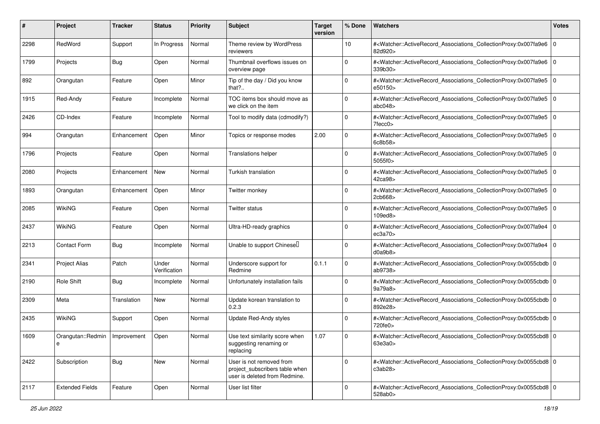| #    | Project                              | <b>Tracker</b> | <b>Status</b>         | <b>Priority</b> | <b>Subject</b>                                                                              | <b>Target</b><br>version | % Done      | Watchers                                                                                                                                                                | <b>Votes</b> |
|------|--------------------------------------|----------------|-----------------------|-----------------|---------------------------------------------------------------------------------------------|--------------------------|-------------|-------------------------------------------------------------------------------------------------------------------------------------------------------------------------|--------------|
| 2298 | RedWord                              | Support        | In Progress           | Normal          | Theme review by WordPress<br>reviewers                                                      |                          | 10          | # <watcher::activerecord_associations_collectionproxy:0x007fa9e6<br>82d920&gt;</watcher::activerecord_associations_collectionproxy:0x007fa9e6<br>                       | l O          |
| 1799 | Projects                             | <b>Bug</b>     | Open                  | Normal          | Thumbnail overflows issues on<br>overview page                                              |                          | $\Omega$    | # <watcher::activerecord_associations_collectionproxy:0x007fa9e6 0<br=""  ="">339b30&gt;</watcher::activerecord_associations_collectionproxy:0x007fa9e6>                |              |
| 892  | Orangutan                            | Feature        | Open                  | Minor           | Tip of the day / Did you know<br>that?                                                      |                          | $\Omega$    | # <watcher::activerecord_associations_collectionproxy:0x007fa9e5 0<br=""  ="">e50150&gt;</watcher::activerecord_associations_collectionproxy:0x007fa9e5>                |              |
| 1915 | Red-Andy                             | Feature        | Incomplete            | Normal          | TOC items box should move as<br>we click on the item                                        |                          | $\Omega$    | # <watcher::activerecord_associations_collectionproxy:0x007fa9e5<br>abc048</watcher::activerecord_associations_collectionproxy:0x007fa9e5<br>                           | ۱٥           |
| 2426 | CD-Index                             | Feature        | Incomplete            | Normal          | Tool to modify data (cdmodify?)                                                             |                          | $\Omega$    | # <watcher::activerecord_associations_collectionproxy:0x007fa9e5<br><math>7</math>fecc<math>0</math></watcher::activerecord_associations_collectionproxy:0x007fa9e5<br> | l 0          |
| 994  | Orangutan                            | Enhancement    | Open                  | Minor           | Topics or response modes                                                                    | 2.00                     | $\Omega$    | # <watcher::activerecord_associations_collectionproxy:0x007fa9e5 0<br=""  ="">6c8b58&gt;</watcher::activerecord_associations_collectionproxy:0x007fa9e5>                |              |
| 1796 | Projects                             | Feature        | Open                  | Normal          | <b>Translations helper</b>                                                                  |                          | $\Omega$    | # <watcher::activerecord_associations_collectionproxy:0x007fa9e5<br>5055f0&gt;</watcher::activerecord_associations_collectionproxy:0x007fa9e5<br>                       | l O          |
| 2080 | Projects                             | Enhancement    | New                   | Normal          | Turkish translation                                                                         |                          | $\mathbf 0$ | # <watcher::activerecord_associations_collectionproxy:0x007fa9e5<br>42ca98&gt;</watcher::activerecord_associations_collectionproxy:0x007fa9e5<br>                       | 10           |
| 1893 | Orangutan                            | Enhancement    | Open                  | Minor           | Twitter monkey                                                                              |                          | $\Omega$    | # <watcher::activerecord_associations_collectionproxy:0x007fa9e5 0<br=""  ="">2cb668</watcher::activerecord_associations_collectionproxy:0x007fa9e5>                    |              |
| 2085 | <b>WikiNG</b>                        | Feature        | Open                  | Normal          | Twitter status                                                                              |                          | 0           | # <watcher::activerecord_associations_collectionproxy:0x007fa9e5 0<br=""  ="">109ed8&gt;</watcher::activerecord_associations_collectionproxy:0x007fa9e5>                |              |
| 2437 | <b>WikiNG</b>                        | Feature        | Open                  | Normal          | Ultra-HD-ready graphics                                                                     |                          | 0           | # <watcher::activerecord_associations_collectionproxy:0x007fa9e4<br>ec3a70</watcher::activerecord_associations_collectionproxy:0x007fa9e4<br>                           | l 0          |
| 2213 | <b>Contact Form</b>                  | <b>Bug</b>     | Incomplete            | Normal          | Unable to support Chinesell                                                                 |                          | $\Omega$    | # <watcher::activerecord_associations_collectionproxy:0x007fa9e4<br>d0a9b8</watcher::activerecord_associations_collectionproxy:0x007fa9e4<br>                           | l 0          |
| 2341 | <b>Project Alias</b>                 | Patch          | Under<br>Verification | Normal          | Underscore support for<br>Redmine                                                           | 0.1.1                    | $\Omega$    | # <watcher::activerecord_associations_collectionproxy:0x0055cbdb 0<br=""  ="">ab9738&gt;</watcher::activerecord_associations_collectionproxy:0x0055cbdb>                |              |
| 2190 | Role Shift                           | <b>Bug</b>     | Incomplete            | Normal          | Unfortunately installation fails                                                            |                          | $\Omega$    | # <watcher::activerecord_associations_collectionproxy:0x0055cbdb 0<br=""  ="">9a79a8&gt;</watcher::activerecord_associations_collectionproxy:0x0055cbdb>                |              |
| 2309 | Meta                                 | Translation    | <b>New</b>            | Normal          | Update korean translation to<br>0.2.3                                                       |                          | $\mathbf 0$ | # <watcher::activerecord_associations_collectionproxy:0x0055cbdb 0<br=""  ="">892e28&gt;</watcher::activerecord_associations_collectionproxy:0x0055cbdb>                |              |
| 2435 | WikiNG                               | Support        | Open                  | Normal          | Update Red-Andy styles                                                                      |                          | $\Omega$    | # <watcher::activerecord_associations_collectionproxy:0x0055cbdb 0<br=""  ="">720fe0&gt;</watcher::activerecord_associations_collectionproxy:0x0055cbdb>                |              |
| 1609 | Orangutan::Redmin   Improvement<br>e |                | Open                  | Normal          | Use text similarity score when<br>suggesting renaming or<br>replacing                       | 1.07                     | $\mathbf 0$ | # <watcher::activerecord_associations_collectionproxy:0x0055cbd8 0<br=""  ="">63e3a0&gt;</watcher::activerecord_associations_collectionproxy:0x0055cbd8>                |              |
| 2422 | Subscription                         | Bug            | New                   | Normal          | User is not removed from<br>project_subscribers table when<br>user is deleted from Redmine. |                          | $\Omega$    | # <watcher::activerecord 0<br="" associations="" collectionproxy:0x0055cbd8="">c3ab28</watcher::activerecord>                                                           |              |
| 2117 | <b>Extended Fields</b>               | Feature        | Open                  | Normal          | User list filter                                                                            |                          | $\Omega$    | # <watcher::activerecord_associations_collectionproxy:0x0055cbd8 0<br=""  ="">528ab0&gt;</watcher::activerecord_associations_collectionproxy:0x0055cbd8>                |              |